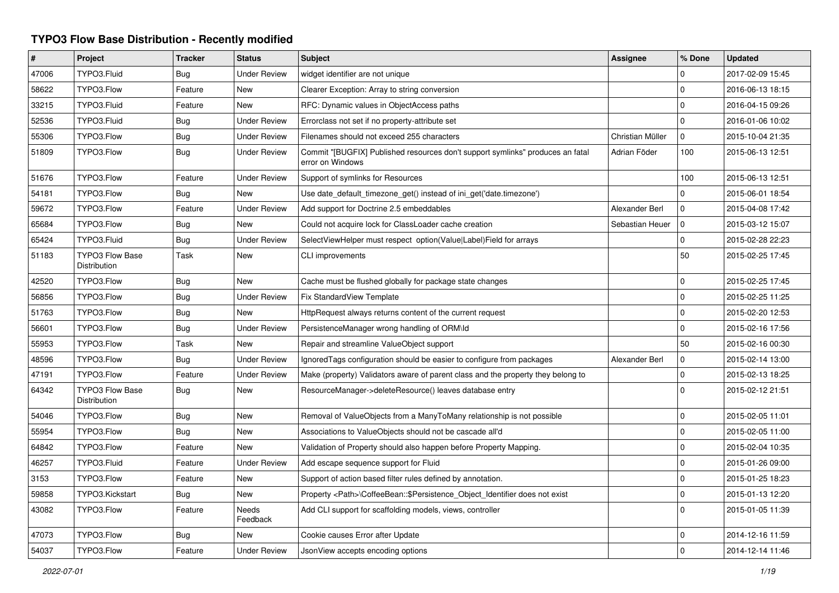## **TYPO3 Flow Base Distribution - Recently modified**

| $\#$  | Project                                | <b>Tracker</b> | <b>Status</b>       | <b>Subject</b>                                                                                     | <b>Assignee</b>  | % Done       | <b>Updated</b>   |
|-------|----------------------------------------|----------------|---------------------|----------------------------------------------------------------------------------------------------|------------------|--------------|------------------|
| 47006 | TYPO3.Fluid                            | Bug            | <b>Under Review</b> | widget identifier are not unique                                                                   |                  | 0            | 2017-02-09 15:45 |
| 58622 | TYPO3.Flow                             | Feature        | <b>New</b>          | Clearer Exception: Array to string conversion                                                      |                  | $\mathbf 0$  | 2016-06-13 18:15 |
| 33215 | TYPO3.Fluid                            | Feature        | New                 | RFC: Dynamic values in ObjectAccess paths                                                          |                  | 0            | 2016-04-15 09:26 |
| 52536 | TYPO3.Fluid                            | Bug            | <b>Under Review</b> | Errorclass not set if no property-attribute set                                                    |                  | $\mathbf 0$  | 2016-01-06 10:02 |
| 55306 | TYPO3.Flow                             | <b>Bug</b>     | <b>Under Review</b> | Filenames should not exceed 255 characters                                                         | Christian Müller | $\mathbf 0$  | 2015-10-04 21:35 |
| 51809 | TYPO3.Flow                             | Bug            | <b>Under Review</b> | Commit "[BUGFIX] Published resources don't support symlinks" produces an fatal<br>error on Windows | Adrian Föder     | 100          | 2015-06-13 12:51 |
| 51676 | TYPO3.Flow                             | Feature        | <b>Under Review</b> | Support of symlinks for Resources                                                                  |                  | 100          | 2015-06-13 12:51 |
| 54181 | TYPO3.Flow                             | Bug            | <b>New</b>          | Use date default timezone get() instead of ini get('date.timezone')                                |                  | 0            | 2015-06-01 18:54 |
| 59672 | TYPO3.Flow                             | Feature        | <b>Under Review</b> | Add support for Doctrine 2.5 embeddables                                                           | Alexander Berl   | $\mathbf 0$  | 2015-04-08 17:42 |
| 65684 | TYPO3.Flow                             | Bug            | <b>New</b>          | Could not acquire lock for ClassLoader cache creation                                              | Sebastian Heuer  | $\mathbf 0$  | 2015-03-12 15:07 |
| 65424 | TYPO3.Fluid                            | <b>Bug</b>     | <b>Under Review</b> | SelectViewHelper must respect option(Value Label)Field for arrays                                  |                  | 0            | 2015-02-28 22:23 |
| 51183 | <b>TYPO3 Flow Base</b><br>Distribution | Task           | New                 | CLI improvements                                                                                   |                  | 50           | 2015-02-25 17:45 |
| 42520 | TYPO3.Flow                             | Bug            | <b>New</b>          | Cache must be flushed globally for package state changes                                           |                  | $\mathbf 0$  | 2015-02-25 17:45 |
| 56856 | TYPO3.Flow                             | <b>Bug</b>     | <b>Under Review</b> | Fix StandardView Template                                                                          |                  | $\mathbf 0$  | 2015-02-25 11:25 |
| 51763 | TYPO3.Flow                             | Bug            | <b>New</b>          | HttpRequest always returns content of the current request                                          |                  | $\mathbf{0}$ | 2015-02-20 12:53 |
| 56601 | TYPO3.Flow                             | Bug            | <b>Under Review</b> | PersistenceManager wrong handling of ORM\ld                                                        |                  | $\mathbf 0$  | 2015-02-16 17:56 |
| 55953 | TYPO3.Flow                             | Task           | <b>New</b>          | Repair and streamline ValueObject support                                                          |                  | 50           | 2015-02-16 00:30 |
| 48596 | TYPO3.Flow                             | Bug            | <b>Under Review</b> | Ignored Tags configuration should be easier to configure from packages                             | Alexander Berl   | $\mathbf 0$  | 2015-02-14 13:00 |
| 47191 | TYPO3.Flow                             | Feature        | <b>Under Review</b> | Make (property) Validators aware of parent class and the property they belong to                   |                  | 0            | 2015-02-13 18:25 |
| 64342 | <b>TYPO3 Flow Base</b><br>Distribution | Bug            | New                 | ResourceManager->deleteResource() leaves database entry                                            |                  | $\Omega$     | 2015-02-12 21:51 |
| 54046 | TYPO3.Flow                             | Bug            | <b>New</b>          | Removal of ValueObjects from a ManyToMany relationship is not possible                             |                  | 0            | 2015-02-05 11:01 |
| 55954 | TYPO3.Flow                             | <b>Bug</b>     | <b>New</b>          | Associations to ValueObjects should not be cascade all'd                                           |                  | $\mathbf 0$  | 2015-02-05 11:00 |
| 64842 | TYPO3.Flow                             | Feature        | <b>New</b>          | Validation of Property should also happen before Property Mapping.                                 |                  | $\mathbf 0$  | 2015-02-04 10:35 |
| 46257 | TYPO3.Fluid                            | Feature        | <b>Under Review</b> | Add escape sequence support for Fluid                                                              |                  | $\mathbf 0$  | 2015-01-26 09:00 |
| 3153  | TYPO3.Flow                             | Feature        | <b>New</b>          | Support of action based filter rules defined by annotation.                                        |                  | $\mathbf 0$  | 2015-01-25 18:23 |
| 59858 | TYPO3.Kickstart                        | Bug            | <b>New</b>          | Property <path>\CoffeeBean:: \$Persistence Object Identifier does not exist</path>                 |                  | 0            | 2015-01-13 12:20 |
| 43082 | TYPO3.Flow                             | Feature        | Needs<br>Feedback   | Add CLI support for scaffolding models, views, controller                                          |                  | $\mathbf 0$  | 2015-01-05 11:39 |
| 47073 | TYPO3.Flow                             | Bug            | <b>New</b>          | Cookie causes Error after Update                                                                   |                  | 0            | 2014-12-16 11:59 |
| 54037 | TYPO3.Flow                             | Feature        | <b>Under Review</b> | JsonView accepts encoding options                                                                  |                  | $\Omega$     | 2014-12-14 11:46 |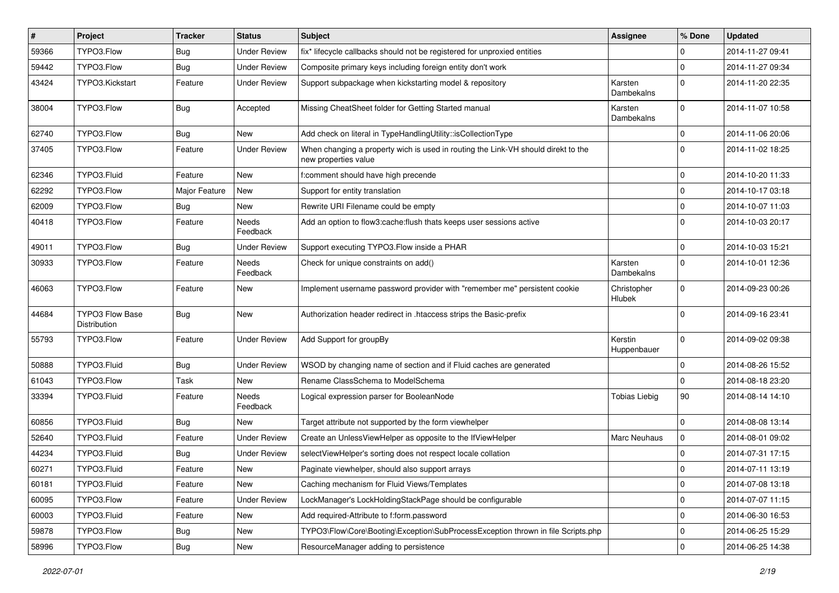| #     | Project                                | <b>Tracker</b> | <b>Status</b>            | <b>Subject</b>                                                                                            | <b>Assignee</b>              | % Done      | <b>Updated</b>   |
|-------|----------------------------------------|----------------|--------------------------|-----------------------------------------------------------------------------------------------------------|------------------------------|-------------|------------------|
| 59366 | TYPO3.Flow                             | <b>Bug</b>     | <b>Under Review</b>      | fix* lifecycle callbacks should not be registered for unproxied entities                                  |                              | 0           | 2014-11-27 09:41 |
| 59442 | TYPO3.Flow                             | <b>Bug</b>     | <b>Under Review</b>      | Composite primary keys including foreign entity don't work                                                |                              | 0           | 2014-11-27 09:34 |
| 43424 | TYPO3.Kickstart                        | Feature        | <b>Under Review</b>      | Support subpackage when kickstarting model & repository                                                   | Karsten<br>Dambekalns        | $\Omega$    | 2014-11-20 22:35 |
| 38004 | TYPO3.Flow                             | Bug            | Accepted                 | Missing CheatSheet folder for Getting Started manual                                                      | Karsten<br>Dambekalns        | $\Omega$    | 2014-11-07 10:58 |
| 62740 | TYPO3.Flow                             | <b>Bug</b>     | New                      | Add check on literal in TypeHandlingUtility::isCollectionType                                             |                              | $\mathbf 0$ | 2014-11-06 20:06 |
| 37405 | TYPO3.Flow                             | Feature        | <b>Under Review</b>      | When changing a property wich is used in routing the Link-VH should direkt to the<br>new properties value |                              | $\Omega$    | 2014-11-02 18:25 |
| 62346 | TYPO3.Fluid                            | Feature        | <b>New</b>               | f:comment should have high precende                                                                       |                              | $\mathbf 0$ | 2014-10-20 11:33 |
| 62292 | TYPO3.Flow                             | Major Feature  | New                      | Support for entity translation                                                                            |                              | $\mathbf 0$ | 2014-10-17 03:18 |
| 62009 | TYPO3.Flow                             | Bug            | New                      | Rewrite URI Filename could be empty                                                                       |                              | $\mathbf 0$ | 2014-10-07 11:03 |
| 40418 | TYPO3.Flow                             | Feature        | Needs<br>Feedback        | Add an option to flow3:cache: flush thats keeps user sessions active                                      |                              | $\Omega$    | 2014-10-03 20:17 |
| 49011 | TYPO3.Flow                             | Bug            | <b>Under Review</b>      | Support executing TYPO3. Flow inside a PHAR                                                               |                              | $\mathbf 0$ | 2014-10-03 15:21 |
| 30933 | TYPO3.Flow                             | Feature        | Needs<br>Feedback        | Check for unique constraints on add()                                                                     | Karsten<br>Dambekalns        | $\Omega$    | 2014-10-01 12:36 |
| 46063 | TYPO3.Flow                             | Feature        | New                      | Implement username password provider with "remember me" persistent cookie                                 | Christopher<br><b>Hlubek</b> | $\Omega$    | 2014-09-23 00:26 |
| 44684 | <b>TYPO3 Flow Base</b><br>Distribution | <b>Bug</b>     | New                      | Authorization header redirect in .htaccess strips the Basic-prefix                                        |                              | $\Omega$    | 2014-09-16 23:41 |
| 55793 | TYPO3.Flow                             | Feature        | <b>Under Review</b>      | Add Support for groupBy                                                                                   | Kerstin<br>Huppenbauer       | $\Omega$    | 2014-09-02 09:38 |
| 50888 | TYPO3.Fluid                            | Bug            | <b>Under Review</b>      | WSOD by changing name of section and if Fluid caches are generated                                        |                              | $\mathbf 0$ | 2014-08-26 15:52 |
| 61043 | TYPO3.Flow                             | Task           | New                      | Rename ClassSchema to ModelSchema                                                                         |                              | $\mathbf 0$ | 2014-08-18 23:20 |
| 33394 | TYPO3.Fluid                            | Feature        | <b>Needs</b><br>Feedback | Logical expression parser for BooleanNode                                                                 | <b>Tobias Liebig</b>         | 90          | 2014-08-14 14:10 |
| 60856 | TYPO3.Fluid                            | <b>Bug</b>     | New                      | Target attribute not supported by the form viewhelper                                                     |                              | $\mathbf 0$ | 2014-08-08 13:14 |
| 52640 | TYPO3.Fluid                            | Feature        | <b>Under Review</b>      | Create an UnlessViewHelper as opposite to the IfViewHelper                                                | <b>Marc Neuhaus</b>          | 0           | 2014-08-01 09:02 |
| 44234 | TYPO3.Fluid                            | <b>Bug</b>     | <b>Under Review</b>      | selectViewHelper's sorting does not respect locale collation                                              |                              | $\Omega$    | 2014-07-31 17:15 |
| 60271 | TYPO3.Fluid                            | Feature        | New                      | Paginate viewhelper, should also support arrays                                                           |                              | 0           | 2014-07-11 13:19 |
| 60181 | TYPO3.Fluid                            | Feature        | New                      | Caching mechanism for Fluid Views/Templates                                                               |                              | $\mathbf 0$ | 2014-07-08 13:18 |
| 60095 | TYPO3.Flow                             | Feature        | <b>Under Review</b>      | LockManager's LockHoldingStackPage should be configurable                                                 |                              | $\mathbf 0$ | 2014-07-07 11:15 |
| 60003 | TYPO3.Fluid                            | Feature        | New                      | Add required-Attribute to f:form.password                                                                 |                              | $\mathbf 0$ | 2014-06-30 16:53 |
| 59878 | TYPO3.Flow                             | <b>Bug</b>     | New                      | TYPO3\Flow\Core\Booting\Exception\SubProcessException thrown in file Scripts.php                          |                              | 0           | 2014-06-25 15:29 |
| 58996 | TYPO3.Flow                             | Bug            | New                      | ResourceManager adding to persistence                                                                     |                              | $\mathsf 0$ | 2014-06-25 14:38 |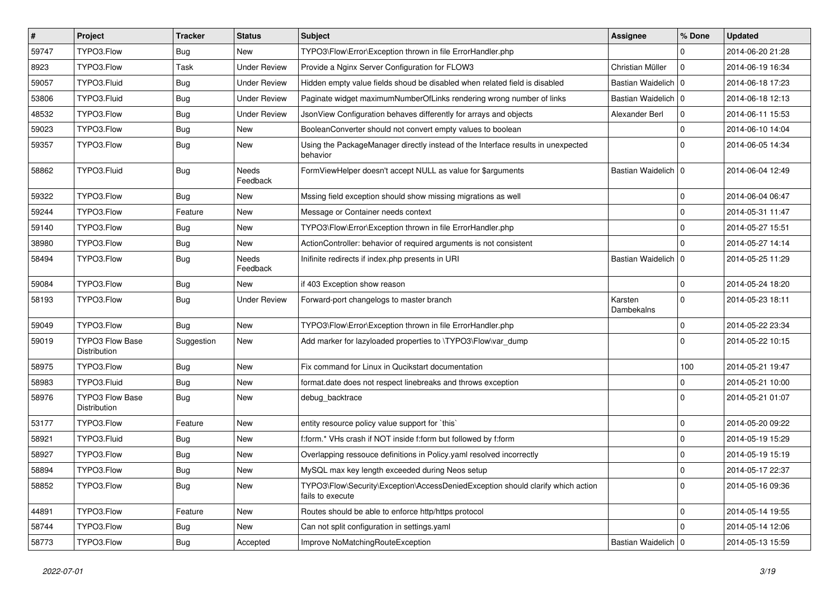| $\vert$ # | Project                                | <b>Tracker</b> | <b>Status</b>       | <b>Subject</b>                                                                                      | <b>Assignee</b>       | % Done         | <b>Updated</b>   |
|-----------|----------------------------------------|----------------|---------------------|-----------------------------------------------------------------------------------------------------|-----------------------|----------------|------------------|
| 59747     | TYPO3.Flow                             | Bug            | New                 | TYPO3\Flow\Error\Exception thrown in file ErrorHandler.php                                          |                       | $\Omega$       | 2014-06-20 21:28 |
| 8923      | TYPO3.Flow                             | Task           | <b>Under Review</b> | Provide a Nginx Server Configuration for FLOW3                                                      | Christian Müller      | l 0            | 2014-06-19 16:34 |
| 59057     | TYPO3.Fluid                            | <b>Bug</b>     | <b>Under Review</b> | Hidden empty value fields shoud be disabled when related field is disabled                          | Bastian Waidelich   0 |                | 2014-06-18 17:23 |
| 53806     | TYPO3.Fluid                            | Bug            | <b>Under Review</b> | Paginate widget maximumNumberOfLinks rendering wrong number of links                                | Bastian Waidelich   0 |                | 2014-06-18 12:13 |
| 48532     | TYPO3.Flow                             | <b>Bug</b>     | <b>Under Review</b> | JsonView Configuration behaves differently for arrays and objects                                   | Alexander Berl        | 0              | 2014-06-11 15:53 |
| 59023     | TYPO3.Flow                             | <b>Bug</b>     | New                 | BooleanConverter should not convert empty values to boolean                                         |                       | $\Omega$       | 2014-06-10 14:04 |
| 59357     | TYPO3.Flow                             | <b>Bug</b>     | New                 | Using the PackageManager directly instead of the Interface results in unexpected<br>behavior        |                       | $\Omega$       | 2014-06-05 14:34 |
| 58862     | TYPO3.Fluid                            | <b>Bug</b>     | Needs<br>Feedback   | FormViewHelper doesn't accept NULL as value for \$arguments                                         | Bastian Waidelich   0 |                | 2014-06-04 12:49 |
| 59322     | TYPO3.Flow                             | <b>Bug</b>     | New                 | Mssing field exception should show missing migrations as well                                       |                       | $\mathbf 0$    | 2014-06-04 06:47 |
| 59244     | TYPO3.Flow                             | Feature        | New                 | Message or Container needs context                                                                  |                       | $\Omega$       | 2014-05-31 11:47 |
| 59140     | TYPO3.Flow                             | Bug            | New                 | TYPO3\Flow\Error\Exception thrown in file ErrorHandler.php                                          |                       | $\Omega$       | 2014-05-27 15:51 |
| 38980     | TYPO3.Flow                             | <b>Bug</b>     | New                 | ActionController: behavior of required arguments is not consistent                                  |                       | $\Omega$       | 2014-05-27 14:14 |
| 58494     | TYPO3.Flow                             | <b>Bug</b>     | Needs<br>Feedback   | Inifinite redirects if index.php presents in URI                                                    | Bastian Waidelich   0 |                | 2014-05-25 11:29 |
| 59084     | TYPO3.Flow                             | <b>Bug</b>     | New                 | if 403 Exception show reason                                                                        |                       | $\Omega$       | 2014-05-24 18:20 |
| 58193     | TYPO3.Flow                             | <b>Bug</b>     | <b>Under Review</b> | Forward-port changelogs to master branch                                                            | Karsten<br>Dambekalns | $\overline{0}$ | 2014-05-23 18:11 |
| 59049     | TYPO3.Flow                             | <b>Bug</b>     | New                 | TYPO3\Flow\Error\Exception thrown in file ErrorHandler.php                                          |                       | $\Omega$       | 2014-05-22 23:34 |
| 59019     | <b>TYPO3 Flow Base</b><br>Distribution | Suggestion     | New                 | Add marker for lazyloaded properties to \TYPO3\Flow\var_dump                                        |                       | $\Omega$       | 2014-05-22 10:15 |
| 58975     | TYPO3.Flow                             | <b>Bug</b>     | New                 | Fix command for Linux in Qucikstart documentation                                                   |                       | 100            | 2014-05-21 19:47 |
| 58983     | TYPO3.Fluid                            | Bug            | <b>New</b>          | format.date does not respect linebreaks and throws exception                                        |                       | $\Omega$       | 2014-05-21 10:00 |
| 58976     | <b>TYPO3 Flow Base</b><br>Distribution | <b>Bug</b>     | New                 | debug backtrace                                                                                     |                       | $\Omega$       | 2014-05-21 01:07 |
| 53177     | TYPO3.Flow                             | Feature        | New                 | entity resource policy value support for `this`                                                     |                       | $\mathbf 0$    | 2014-05-20 09:22 |
| 58921     | TYPO3.Fluid                            | <b>Bug</b>     | New                 | f:form.* VHs crash if NOT inside f:form but followed by f:form                                      |                       | $\Omega$       | 2014-05-19 15:29 |
| 58927     | TYPO3.Flow                             | <b>Bug</b>     | New                 | Overlapping ressouce definitions in Policy.yaml resolved incorrectly                                |                       | $\Omega$       | 2014-05-19 15:19 |
| 58894     | TYPO3.Flow                             | Bug            | New                 | MySQL max key length exceeded during Neos setup                                                     |                       | l O            | 2014-05-17 22:37 |
| 58852     | TYPO3.Flow                             | <b>Bug</b>     | New                 | TYPO3\Flow\Security\Exception\AccessDeniedException should clarify which action<br>fails to execute |                       | l 0            | 2014-05-16 09:36 |
| 44891     | TYPO3.Flow                             | Feature        | New                 | Routes should be able to enforce http/https protocol                                                |                       | $\mathbf 0$    | 2014-05-14 19:55 |
| 58744     | TYPO3.Flow                             | Bug            | New                 | Can not split configuration in settings.yaml                                                        |                       | $\Omega$       | 2014-05-14 12:06 |
| 58773     | TYPO3.Flow                             | <b>Bug</b>     | Accepted            | Improve NoMatchingRouteException                                                                    | Bastian Waidelich   0 |                | 2014-05-13 15:59 |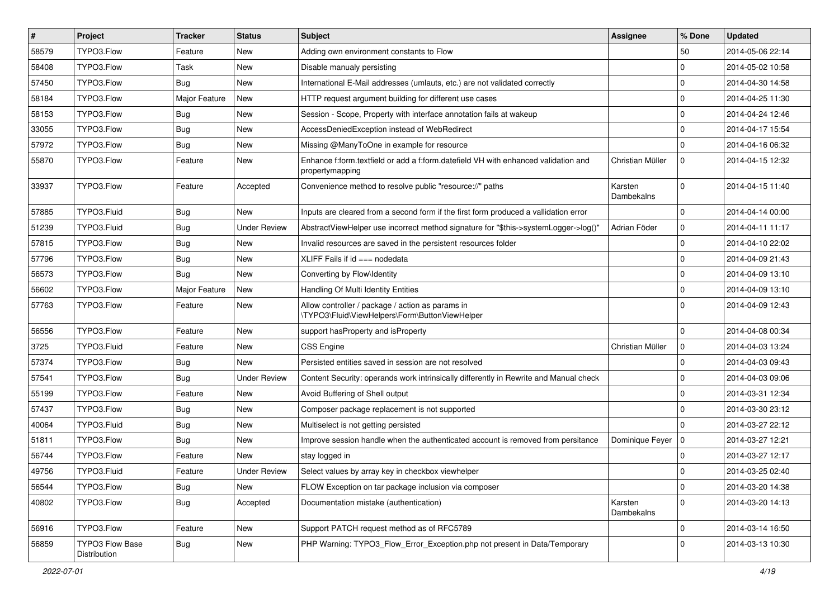| $\pmb{\#}$ | <b>Project</b>                  | <b>Tracker</b> | <b>Status</b>       | <b>Subject</b>                                                                                        | <b>Assignee</b>       | % Done         | <b>Updated</b>   |
|------------|---------------------------------|----------------|---------------------|-------------------------------------------------------------------------------------------------------|-----------------------|----------------|------------------|
| 58579      | TYPO3.Flow                      | Feature        | New                 | Adding own environment constants to Flow                                                              |                       | 50             | 2014-05-06 22:14 |
| 58408      | TYPO3.Flow                      | Task           | <b>New</b>          | Disable manualy persisting                                                                            |                       | $\mathbf 0$    | 2014-05-02 10:58 |
| 57450      | TYPO3.Flow                      | Bug            | New                 | International E-Mail addresses (umlauts, etc.) are not validated correctly                            |                       | $\Omega$       | 2014-04-30 14:58 |
| 58184      | TYPO3.Flow                      | Major Feature  | <b>New</b>          | HTTP request argument building for different use cases                                                |                       | $\mathbf 0$    | 2014-04-25 11:30 |
| 58153      | TYPO3.Flow                      | Bug            | <b>New</b>          | Session - Scope, Property with interface annotation fails at wakeup                                   |                       | $\mathbf 0$    | 2014-04-24 12:46 |
| 33055      | TYPO3.Flow                      | <b>Bug</b>     | New                 | AccessDeniedException instead of WebRedirect                                                          |                       | $\mathbf 0$    | 2014-04-17 15:54 |
| 57972      | TYPO3.Flow                      | Bug            | <b>New</b>          | Missing @ManyToOne in example for resource                                                            |                       | $\Omega$       | 2014-04-16 06:32 |
| 55870      | TYPO3.Flow                      | Feature        | New                 | Enhance f:form.textfield or add a f:form.datefield VH with enhanced validation and<br>propertymapping | Christian Müller      | $\mathbf 0$    | 2014-04-15 12:32 |
| 33937      | TYPO3.Flow                      | Feature        | Accepted            | Convenience method to resolve public "resource://" paths                                              | Karsten<br>Dambekalns | $\mathbf 0$    | 2014-04-15 11:40 |
| 57885      | TYPO3.Fluid                     | <b>Bug</b>     | <b>New</b>          | Inputs are cleared from a second form if the first form produced a vallidation error                  |                       | $\Omega$       | 2014-04-14 00:00 |
| 51239      | TYPO3.Fluid                     | <b>Bug</b>     | <b>Under Review</b> | AbstractViewHelper use incorrect method signature for "\$this->systemLogger->log()"                   | Adrian Föder          | $\mathbf 0$    | 2014-04-11 11:17 |
| 57815      | TYPO3.Flow                      | <b>Bug</b>     | New                 | Invalid resources are saved in the persistent resources folder                                        |                       | $\mathbf 0$    | 2014-04-10 22:02 |
| 57796      | TYPO3.Flow                      | <b>Bug</b>     | <b>New</b>          | XLIFF Fails if $id ==$ nodedata                                                                       |                       | $\Omega$       | 2014-04-09 21:43 |
| 56573      | TYPO3.Flow                      | Bug            | New                 | Converting by Flow\Identity                                                                           |                       | $\mathbf 0$    | 2014-04-09 13:10 |
| 56602      | TYPO3.Flow                      | Major Feature  | <b>New</b>          | Handling Of Multi Identity Entities                                                                   |                       | $\mathbf 0$    | 2014-04-09 13:10 |
| 57763      | TYPO3.Flow                      | Feature        | <b>New</b>          | Allow controller / package / action as params in<br>\TYPO3\Fluid\ViewHelpers\Form\ButtonViewHelper    |                       | $\Omega$       | 2014-04-09 12:43 |
| 56556      | TYPO3.Flow                      | Feature        | <b>New</b>          | support has Property and is Property                                                                  |                       | $\mathbf 0$    | 2014-04-08 00:34 |
| 3725       | TYPO3.Fluid                     | Feature        | <b>New</b>          | <b>CSS Engine</b>                                                                                     | Christian Müller      | l o            | 2014-04-03 13:24 |
| 57374      | TYPO3.Flow                      | <b>Bug</b>     | New                 | Persisted entities saved in session are not resolved                                                  |                       | $\mathbf 0$    | 2014-04-03 09:43 |
| 57541      | TYPO3.Flow                      | <b>Bug</b>     | <b>Under Review</b> | Content Security: operands work intrinsically differently in Rewrite and Manual check                 |                       | $\mathbf 0$    | 2014-04-03 09:06 |
| 55199      | TYPO3.Flow                      | Feature        | <b>New</b>          | Avoid Buffering of Shell output                                                                       |                       | $\mathbf 0$    | 2014-03-31 12:34 |
| 57437      | TYPO3.Flow                      | Bug            | <b>New</b>          | Composer package replacement is not supported                                                         |                       | $\mathbf 0$    | 2014-03-30 23:12 |
| 40064      | TYPO3.Fluid                     | <b>Bug</b>     | <b>New</b>          | Multiselect is not getting persisted                                                                  |                       | $\Omega$       | 2014-03-27 22:12 |
| 51811      | TYPO3.Flow                      | <b>Bug</b>     | New                 | Improve session handle when the authenticated account is removed from persitance                      | Dominique Feyer       | $\overline{0}$ | 2014-03-27 12:21 |
| 56744      | TYPO3.Flow                      | Feature        | <b>New</b>          | stay logged in                                                                                        |                       | $\mathbf 0$    | 2014-03-27 12:17 |
| 49756      | TYPO3.Fluid                     | Feature        | <b>Under Review</b> | Select values by array key in checkbox viewhelper                                                     |                       | $\Omega$       | 2014-03-25 02:40 |
| 56544      | TYPO3.Flow                      | <b>Bug</b>     | New                 | FLOW Exception on tar package inclusion via composer                                                  |                       | $\mathbf 0$    | 2014-03-20 14:38 |
| 40802      | TYPO3.Flow                      | <b>Bug</b>     | Accepted            | Documentation mistake (authentication)                                                                | Karsten<br>Dambekalns | $\mathbf{0}$   | 2014-03-20 14:13 |
| 56916      | TYPO3.Flow                      | Feature        | New                 | Support PATCH request method as of RFC5789                                                            |                       | $\pmb{0}$      | 2014-03-14 16:50 |
| 56859      | TYPO3 Flow Base<br>Distribution | <b>Bug</b>     | New                 | PHP Warning: TYPO3_Flow_Error_Exception.php not present in Data/Temporary                             |                       | $\Omega$       | 2014-03-13 10:30 |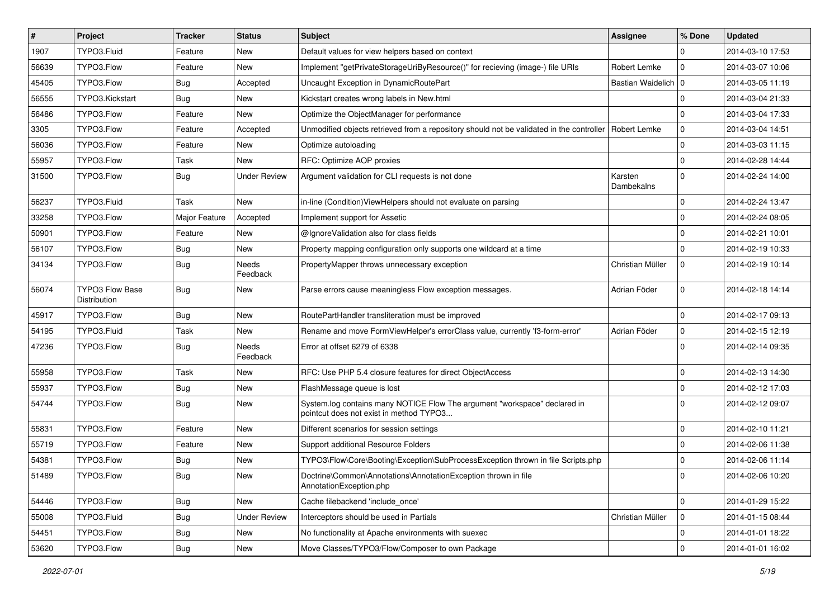| $\pmb{\#}$ | <b>Project</b>                  | <b>Tracker</b> | <b>Status</b>            | <b>Subject</b>                                                                                                       | <b>Assignee</b>       | % Done      | <b>Updated</b>   |
|------------|---------------------------------|----------------|--------------------------|----------------------------------------------------------------------------------------------------------------------|-----------------------|-------------|------------------|
| 1907       | TYPO3.Fluid                     | Feature        | <b>New</b>               | Default values for view helpers based on context                                                                     |                       | $\Omega$    | 2014-03-10 17:53 |
| 56639      | TYPO3.Flow                      | Feature        | <b>New</b>               | Implement "getPrivateStorageUriByResource()" for recieving (image-) file URIs                                        | Robert Lemke          | $\mathbf 0$ | 2014-03-07 10:06 |
| 45405      | TYPO3.Flow                      | <b>Bug</b>     | Accepted                 | Uncaught Exception in DynamicRoutePart                                                                               | Bastian Waidelich 0   |             | 2014-03-05 11:19 |
| 56555      | TYPO3.Kickstart                 | Bug            | New                      | Kickstart creates wrong labels in New.html                                                                           |                       | $\mathbf 0$ | 2014-03-04 21:33 |
| 56486      | TYPO3.Flow                      | Feature        | <b>New</b>               | Optimize the ObjectManager for performance                                                                           |                       | $\mathbf 0$ | 2014-03-04 17:33 |
| 3305       | TYPO3.Flow                      | Feature        | Accepted                 | Unmodified objects retrieved from a repository should not be validated in the controller                             | Robert Lemke          | $\mathbf 0$ | 2014-03-04 14:51 |
| 56036      | TYPO3.Flow                      | Feature        | New                      | Optimize autoloading                                                                                                 |                       | $\mathbf 0$ | 2014-03-03 11:15 |
| 55957      | TYPO3.Flow                      | Task           | New                      | RFC: Optimize AOP proxies                                                                                            |                       | $\mathbf 0$ | 2014-02-28 14:44 |
| 31500      | TYPO3.Flow                      | <b>Bug</b>     | <b>Under Review</b>      | Argument validation for CLI requests is not done                                                                     | Karsten<br>Dambekalns | $\Omega$    | 2014-02-24 14:00 |
| 56237      | TYPO3.Fluid                     | Task           | <b>New</b>               | in-line (Condition) View Helpers should not evaluate on parsing                                                      |                       | $\mathbf 0$ | 2014-02-24 13:47 |
| 33258      | TYPO3.Flow                      | Major Feature  | Accepted                 | Implement support for Assetic                                                                                        |                       | $\mathbf 0$ | 2014-02-24 08:05 |
| 50901      | TYPO3.Flow                      | Feature        | <b>New</b>               | @IgnoreValidation also for class fields                                                                              |                       | $\mathbf 0$ | 2014-02-21 10:01 |
| 56107      | TYPO3.Flow                      | <b>Bug</b>     | New                      | Property mapping configuration only supports one wildcard at a time                                                  |                       | $\Omega$    | 2014-02-19 10:33 |
| 34134      | TYPO3.Flow                      | <b>Bug</b>     | Needs<br>Feedback        | PropertyMapper throws unnecessary exception                                                                          | Christian Müller      | $\mathbf 0$ | 2014-02-19 10:14 |
| 56074      | TYPO3 Flow Base<br>Distribution | <b>Bug</b>     | <b>New</b>               | Parse errors cause meaningless Flow exception messages.                                                              | Adrian Föder          | $\mathbf 0$ | 2014-02-18 14:14 |
| 45917      | TYPO3.Flow                      | <b>Bug</b>     | New                      | RoutePartHandler transliteration must be improved                                                                    |                       | $\mathbf 0$ | 2014-02-17 09:13 |
| 54195      | TYPO3.Fluid                     | Task           | <b>New</b>               | Rename and move FormViewHelper's errorClass value, currently 'f3-form-error'                                         | Adrian Föder          | $\mathbf 0$ | 2014-02-15 12:19 |
| 47236      | TYPO3.Flow                      | <b>Bug</b>     | <b>Needs</b><br>Feedback | Error at offset 6279 of 6338                                                                                         |                       | $\Omega$    | 2014-02-14 09:35 |
| 55958      | TYPO3.Flow                      | Task           | <b>New</b>               | RFC: Use PHP 5.4 closure features for direct ObjectAccess                                                            |                       | $\mathbf 0$ | 2014-02-13 14:30 |
| 55937      | TYPO3.Flow                      | <b>Bug</b>     | New                      | FlashMessage queue is lost                                                                                           |                       | $\mathbf 0$ | 2014-02-12 17:03 |
| 54744      | TYPO3.Flow                      | <b>Bug</b>     | <b>New</b>               | System.log contains many NOTICE Flow The argument "workspace" declared in<br>pointcut does not exist in method TYPO3 |                       | $\Omega$    | 2014-02-12 09:07 |
| 55831      | TYPO3.Flow                      | Feature        | <b>New</b>               | Different scenarios for session settings                                                                             |                       | $\mathbf 0$ | 2014-02-10 11:21 |
| 55719      | TYPO3.Flow                      | Feature        | <b>New</b>               | Support additional Resource Folders                                                                                  |                       | $\mathbf 0$ | 2014-02-06 11:38 |
| 54381      | TYPO3.Flow                      | <b>Bug</b>     | <b>New</b>               | TYPO3\Flow\Core\Booting\Exception\SubProcessException thrown in file Scripts.php                                     |                       | $\mathbf 0$ | 2014-02-06 11:14 |
| 51489      | TYPO3.Flow                      | Bug            | New                      | Doctrine\Common\Annotations\AnnotationException thrown in file<br>AnnotationException.php                            |                       | 0           | 2014-02-06 10:20 |
| 54446      | TYPO3.Flow                      | <b>Bug</b>     | New                      | Cache filebackend 'include_once'                                                                                     |                       | 0           | 2014-01-29 15:22 |
| 55008      | TYPO3.Fluid                     | <b>Bug</b>     | <b>Under Review</b>      | Interceptors should be used in Partials                                                                              | Christian Müller      | $\mathsf 0$ | 2014-01-15 08:44 |
| 54451      | TYPO3.Flow                      | Bug            | New                      | No functionality at Apache environments with suexec                                                                  |                       | 0           | 2014-01-01 18:22 |
| 53620      | TYPO3.Flow                      | <b>Bug</b>     | New                      | Move Classes/TYPO3/Flow/Composer to own Package                                                                      |                       | 0           | 2014-01-01 16:02 |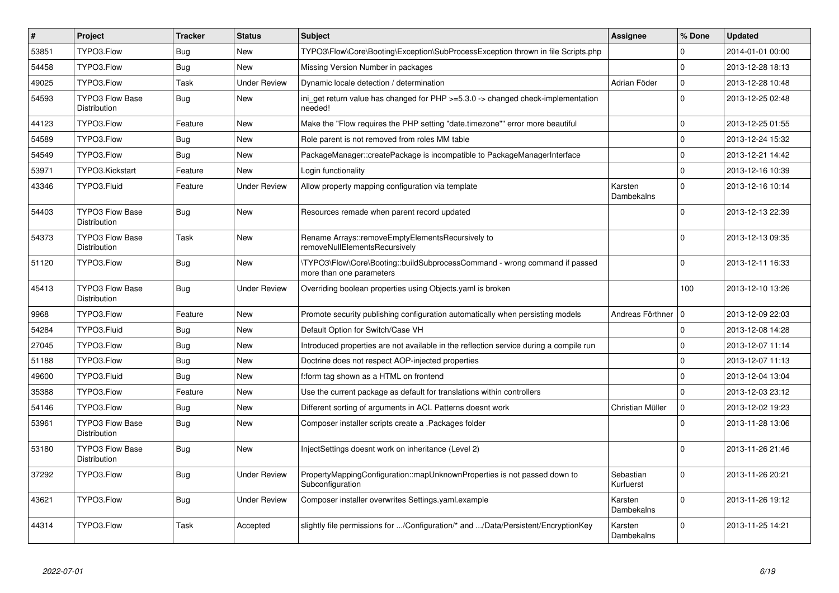| $\vert$ # | Project                                       | <b>Tracker</b> | <b>Status</b>       | <b>Subject</b>                                                                                         | <b>Assignee</b>        | % Done      | <b>Updated</b>   |
|-----------|-----------------------------------------------|----------------|---------------------|--------------------------------------------------------------------------------------------------------|------------------------|-------------|------------------|
| 53851     | TYPO3.Flow                                    | Bug            | <b>New</b>          | TYPO3\Flow\Core\Booting\Exception\SubProcessException thrown in file Scripts.php                       |                        | $\Omega$    | 2014-01-01 00:00 |
| 54458     | TYPO3.Flow                                    | Bug            | <b>New</b>          | Missing Version Number in packages                                                                     |                        | $\Omega$    | 2013-12-28 18:13 |
| 49025     | TYPO3.Flow                                    | Task           | <b>Under Review</b> | Dynamic locale detection / determination                                                               | Adrian Föder           | $\mathbf 0$ | 2013-12-28 10:48 |
| 54593     | <b>TYPO3 Flow Base</b><br>Distribution        | Bug            | <b>New</b>          | ini get return value has changed for $PHP \ge 5.3.0 \ge$ changed check-implementation<br>needed!       |                        | $\Omega$    | 2013-12-25 02:48 |
| 44123     | TYPO3.Flow                                    | Feature        | <b>New</b>          | Make the "Flow requires the PHP setting "date.timezone"" error more beautiful                          |                        | $\Omega$    | 2013-12-25 01:55 |
| 54589     | TYPO3.Flow                                    | Bug            | <b>New</b>          | Role parent is not removed from roles MM table                                                         |                        | $\mathbf 0$ | 2013-12-24 15:32 |
| 54549     | TYPO3.Flow                                    | Bug            | <b>New</b>          | PackageManager::createPackage is incompatible to PackageManagerInterface                               |                        | $\Omega$    | 2013-12-21 14:42 |
| 53971     | TYPO3.Kickstart                               | Feature        | <b>New</b>          | Login functionality                                                                                    |                        | $\mathbf 0$ | 2013-12-16 10:39 |
| 43346     | TYPO3.Fluid                                   | Feature        | <b>Under Review</b> | Allow property mapping configuration via template                                                      | Karsten<br>Dambekalns  | $\Omega$    | 2013-12-16 10:14 |
| 54403     | <b>TYPO3 Flow Base</b><br>Distribution        | <b>Bug</b>     | <b>New</b>          | Resources remade when parent record updated                                                            |                        | $\Omega$    | 2013-12-13 22:39 |
| 54373     | TYPO3 Flow Base<br>Distribution               | Task           | New                 | Rename Arrays::removeEmptyElementsRecursively to<br>removeNullElementsRecursively                      |                        | $\Omega$    | 2013-12-13 09:35 |
| 51120     | TYPO3.Flow                                    | <b>Bug</b>     | <b>New</b>          | \TYPO3\Flow\Core\Booting::buildSubprocessCommand - wrong command if passed<br>more than one parameters |                        | $\Omega$    | 2013-12-11 16:33 |
| 45413     | <b>TYPO3 Flow Base</b><br>Distribution        | <b>Bug</b>     | <b>Under Review</b> | Overriding boolean properties using Objects yaml is broken                                             |                        | 100         | 2013-12-10 13:26 |
| 9968      | TYPO3.Flow                                    | Feature        | <b>New</b>          | Promote security publishing configuration automatically when persisting models                         | Andreas Förthner       | l o         | 2013-12-09 22:03 |
| 54284     | TYPO3.Fluid                                   | Bug            | <b>New</b>          | Default Option for Switch/Case VH                                                                      |                        | $\mathbf 0$ | 2013-12-08 14:28 |
| 27045     | TYPO3.Flow                                    | Bug            | New                 | Introduced properties are not available in the reflection service during a compile run                 |                        | $\mathbf 0$ | 2013-12-07 11:14 |
| 51188     | TYPO3.Flow                                    | Bug            | <b>New</b>          | Doctrine does not respect AOP-injected properties                                                      |                        | $\Omega$    | 2013-12-07 11:13 |
| 49600     | TYPO3.Fluid                                   | Bug            | New                 | f:form tag shown as a HTML on frontend                                                                 |                        | $\mathbf 0$ | 2013-12-04 13:04 |
| 35388     | TYPO3.Flow                                    | Feature        | <b>New</b>          | Use the current package as default for translations within controllers                                 |                        | $\Omega$    | 2013-12-03 23:12 |
| 54146     | TYPO3.Flow                                    | Bug            | <b>New</b>          | Different sorting of arguments in ACL Patterns doesnt work                                             | Christian Müller       | $\mathbf 0$ | 2013-12-02 19:23 |
| 53961     | <b>TYPO3 Flow Base</b><br><b>Distribution</b> | <b>Bug</b>     | <b>New</b>          | Composer installer scripts create a .Packages folder                                                   |                        | $\Omega$    | 2013-11-28 13:06 |
| 53180     | <b>TYPO3 Flow Base</b><br>Distribution        | <b>Bug</b>     | <b>New</b>          | InjectSettings doesnt work on inheritance (Level 2)                                                    |                        | $\Omega$    | 2013-11-26 21:46 |
| 37292     | TYPO3.Flow                                    | <b>Bug</b>     | <b>Under Review</b> | PropertyMappingConfiguration::mapUnknownProperties is not passed down to<br>Subconfiguration           | Sebastian<br>Kurfuerst | $\Omega$    | 2013-11-26 20:21 |
| 43621     | TYPO3.Flow                                    | <b>Bug</b>     | <b>Under Review</b> | Composer installer overwrites Settings.yaml.example                                                    | Karsten<br>Dambekalns  | $\Omega$    | 2013-11-26 19:12 |
| 44314     | TYPO3.Flow                                    | Task           | Accepted            | slightly file permissions for /Configuration/* and /Data/Persistent/EncryptionKey                      | Karsten<br>Dambekalns  | $\Omega$    | 2013-11-25 14:21 |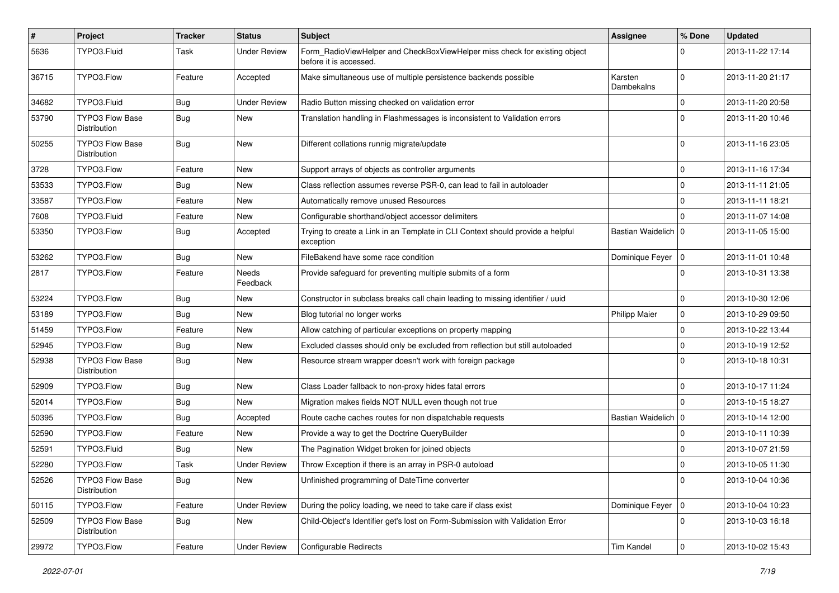| $\sharp$ | Project                                | <b>Tracker</b> | <b>Status</b>       | <b>Subject</b>                                                                                       | <b>Assignee</b>       | % Done      | <b>Updated</b>   |
|----------|----------------------------------------|----------------|---------------------|------------------------------------------------------------------------------------------------------|-----------------------|-------------|------------------|
| 5636     | TYPO3.Fluid                            | Task           | <b>Under Review</b> | Form_RadioViewHelper and CheckBoxViewHelper miss check for existing object<br>before it is accessed. |                       | $\Omega$    | 2013-11-22 17:14 |
| 36715    | TYPO3.Flow                             | Feature        | Accepted            | Make simultaneous use of multiple persistence backends possible                                      | Karsten<br>Dambekalns | $\Omega$    | 2013-11-20 21:17 |
| 34682    | TYPO3.Fluid                            | Bug            | <b>Under Review</b> | Radio Button missing checked on validation error                                                     |                       | 0           | 2013-11-20 20:58 |
| 53790    | <b>TYPO3 Flow Base</b><br>Distribution | Bug            | New                 | Translation handling in Flashmessages is inconsistent to Validation errors                           |                       | $\Omega$    | 2013-11-20 10:46 |
| 50255    | TYPO3 Flow Base<br>Distribution        | Bug            | <b>New</b>          | Different collations runnig migrate/update                                                           |                       | $\Omega$    | 2013-11-16 23:05 |
| 3728     | TYPO3.Flow                             | Feature        | <b>New</b>          | Support arrays of objects as controller arguments                                                    |                       | $\mathbf 0$ | 2013-11-16 17:34 |
| 53533    | TYPO3.Flow                             | <b>Bug</b>     | New                 | Class reflection assumes reverse PSR-0, can lead to fail in autoloader                               |                       | 0           | 2013-11-11 21:05 |
| 33587    | TYPO3.Flow                             | Feature        | New                 | Automatically remove unused Resources                                                                |                       | $\mathbf 0$ | 2013-11-11 18:21 |
| 7608     | TYPO3.Fluid                            | Feature        | New                 | Configurable shorthand/object accessor delimiters                                                    |                       | $\Omega$    | 2013-11-07 14:08 |
| 53350    | TYPO3.Flow                             | <b>Bug</b>     | Accepted            | Trying to create a Link in an Template in CLI Context should provide a helpful<br>exception          | Bastian Waidelich   0 |             | 2013-11-05 15:00 |
| 53262    | TYPO3.Flow                             | Bug            | <b>New</b>          | FileBakend have some race condition                                                                  | Dominique Feyer       | 10          | 2013-11-01 10:48 |
| 2817     | TYPO3.Flow                             | Feature        | Needs<br>Feedback   | Provide safeguard for preventing multiple submits of a form                                          |                       | $\Omega$    | 2013-10-31 13:38 |
| 53224    | TYPO3.Flow                             | Bug            | New                 | Constructor in subclass breaks call chain leading to missing identifier / uuid                       |                       | 0           | 2013-10-30 12:06 |
| 53189    | TYPO3.Flow                             | <b>Bug</b>     | New                 | Blog tutorial no longer works                                                                        | <b>Philipp Maier</b>  | $\mathbf 0$ | 2013-10-29 09:50 |
| 51459    | TYPO3.Flow                             | Feature        | <b>New</b>          | Allow catching of particular exceptions on property mapping                                          |                       | 0           | 2013-10-22 13:44 |
| 52945    | TYPO3.Flow                             | <b>Bug</b>     | New                 | Excluded classes should only be excluded from reflection but still autoloaded                        |                       | $\mathbf 0$ | 2013-10-19 12:52 |
| 52938    | <b>TYPO3 Flow Base</b><br>Distribution | Bug            | New                 | Resource stream wrapper doesn't work with foreign package                                            |                       | $\Omega$    | 2013-10-18 10:31 |
| 52909    | TYPO3.Flow                             | Bug            | New                 | Class Loader fallback to non-proxy hides fatal errors                                                |                       | $\mathbf 0$ | 2013-10-17 11:24 |
| 52014    | TYPO3.Flow                             | <b>Bug</b>     | <b>New</b>          | Migration makes fields NOT NULL even though not true                                                 |                       | $\Omega$    | 2013-10-15 18:27 |
| 50395    | TYPO3.Flow                             | <b>Bug</b>     | Accepted            | Route cache caches routes for non dispatchable requests                                              | Bastian Waidelich   0 |             | 2013-10-14 12:00 |
| 52590    | TYPO3.Flow                             | Feature        | New                 | Provide a way to get the Doctrine QueryBuilder                                                       |                       | $\mathbf 0$ | 2013-10-11 10:39 |
| 52591    | TYPO3.Fluid                            | Bug            | <b>New</b>          | The Pagination Widget broken for joined objects                                                      |                       | 0           | 2013-10-07 21:59 |
| 52280    | TYPO3.Flow                             | Task           | <b>Under Review</b> | Throw Exception if there is an array in PSR-0 autoload                                               |                       | $\mathbf 0$ | 2013-10-05 11:30 |
| 52526    | TYPO3 Flow Base<br>Distribution        | <b>Bug</b>     | New                 | Unfinished programming of DateTime converter                                                         |                       | 0           | 2013-10-04 10:36 |
| 50115    | TYPO3.Flow                             | Feature        | <b>Under Review</b> | During the policy loading, we need to take care if class exist                                       | Dominique Feyer   0   |             | 2013-10-04 10:23 |
| 52509    | TYPO3 Flow Base<br>Distribution        | <b>Bug</b>     | New                 | Child-Object's Identifier get's lost on Form-Submission with Validation Error                        |                       | $\mathbf 0$ | 2013-10-03 16:18 |
| 29972    | TYPO3.Flow                             | Feature        | <b>Under Review</b> | Configurable Redirects                                                                               | Tim Kandel            | $\pmb{0}$   | 2013-10-02 15:43 |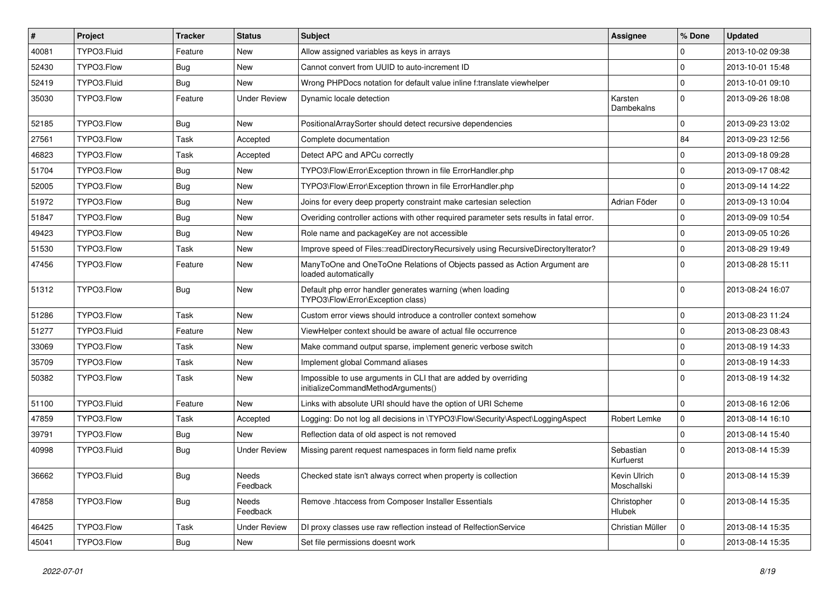| #     | Project     | <b>Tracker</b> | <b>Status</b>       | <b>Subject</b>                                                                                        | Assignee                    | % Done      | <b>Updated</b>   |
|-------|-------------|----------------|---------------------|-------------------------------------------------------------------------------------------------------|-----------------------------|-------------|------------------|
| 40081 | TYPO3.Fluid | Feature        | New                 | Allow assigned variables as keys in arrays                                                            |                             | 0           | 2013-10-02 09:38 |
| 52430 | TYPO3.Flow  | Bug            | New                 | Cannot convert from UUID to auto-increment ID                                                         |                             | 0           | 2013-10-01 15:48 |
| 52419 | TYPO3.Fluid | <b>Bug</b>     | New                 | Wrong PHPDocs notation for default value inline f:translate viewhelper                                |                             | $\mathbf 0$ | 2013-10-01 09:10 |
| 35030 | TYPO3.Flow  | Feature        | <b>Under Review</b> | Dynamic locale detection                                                                              | Karsten<br>Dambekalns       | $\mathbf 0$ | 2013-09-26 18:08 |
| 52185 | TYPO3.Flow  | <b>Bug</b>     | New                 | PositionalArraySorter should detect recursive dependencies                                            |                             | 0           | 2013-09-23 13:02 |
| 27561 | TYPO3.Flow  | Task           | Accepted            | Complete documentation                                                                                |                             | 84          | 2013-09-23 12:56 |
| 46823 | TYPO3.Flow  | Task           | Accepted            | Detect APC and APCu correctly                                                                         |                             | 0           | 2013-09-18 09:28 |
| 51704 | TYPO3.Flow  | Bug            | New                 | TYPO3\Flow\Error\Exception thrown in file ErrorHandler.php                                            |                             | $\mathbf 0$ | 2013-09-17 08:42 |
| 52005 | TYPO3.Flow  | <b>Bug</b>     | New                 | TYPO3\Flow\Error\Exception thrown in file ErrorHandler.php                                            |                             | $\mathbf 0$ | 2013-09-14 14:22 |
| 51972 | TYPO3.Flow  | <b>Bug</b>     | New                 | Joins for every deep property constraint make cartesian selection                                     | Adrian Föder                | 0           | 2013-09-13 10:04 |
| 51847 | TYPO3.Flow  | Bug            | New                 | Overiding controller actions with other required parameter sets results in fatal error.               |                             | $\mathbf 0$ | 2013-09-09 10:54 |
| 49423 | TYPO3.Flow  | <b>Bug</b>     | New                 | Role name and packageKey are not accessible                                                           |                             | $\mathbf 0$ | 2013-09-05 10:26 |
| 51530 | TYPO3.Flow  | Task           | New                 | Improve speed of Files::readDirectoryRecursively using RecursiveDirectoryIterator?                    |                             | $\mathbf 0$ | 2013-08-29 19:49 |
| 47456 | TYPO3.Flow  | Feature        | New                 | ManyToOne and OneToOne Relations of Objects passed as Action Argument are<br>loaded automatically     |                             | $\Omega$    | 2013-08-28 15:11 |
| 51312 | TYPO3.Flow  | Bug            | New                 | Default php error handler generates warning (when loading<br>TYPO3\Flow\Error\Exception class)        |                             | $\Omega$    | 2013-08-24 16:07 |
| 51286 | TYPO3.Flow  | Task           | <b>New</b>          | Custom error views should introduce a controller context somehow                                      |                             | 0           | 2013-08-23 11:24 |
| 51277 | TYPO3.Fluid | Feature        | New                 | ViewHelper context should be aware of actual file occurrence                                          |                             | $\mathbf 0$ | 2013-08-23 08:43 |
| 33069 | TYPO3.Flow  | Task           | New                 | Make command output sparse, implement generic verbose switch                                          |                             | $\mathbf 0$ | 2013-08-19 14:33 |
| 35709 | TYPO3.Flow  | Task           | New                 | Implement global Command aliases                                                                      |                             | $\mathbf 0$ | 2013-08-19 14:33 |
| 50382 | TYPO3.Flow  | Task           | New                 | Impossible to use arguments in CLI that are added by overriding<br>initializeCommandMethodArguments() |                             | $\Omega$    | 2013-08-19 14:32 |
| 51100 | TYPO3.Fluid | Feature        | <b>New</b>          | Links with absolute URI should have the option of URI Scheme                                          |                             | $\mathbf 0$ | 2013-08-16 12:06 |
| 47859 | TYPO3.Flow  | Task           | Accepted            | Logging: Do not log all decisions in \TYPO3\Flow\Security\Aspect\LoggingAspect                        | Robert Lemke                | $\mathbf 0$ | 2013-08-14 16:10 |
| 39791 | TYPO3.Flow  | Bug            | New                 | Reflection data of old aspect is not removed                                                          |                             | $\mathbf 0$ | 2013-08-14 15:40 |
| 40998 | TYPO3.Fluid | <b>Bug</b>     | Under Review        | Missing parent request namespaces in form field name prefix                                           | Sebastian<br>Kurfuerst      | $\Omega$    | 2013-08-14 15:39 |
| 36662 | TYPO3.Fluid | <b>Bug</b>     | Needs<br>Feedback   | Checked state isn't always correct when property is collection                                        | Kevin Ulrich<br>Moschallski | 0           | 2013-08-14 15:39 |
| 47858 | TYPO3.Flow  | <b>Bug</b>     | Needs<br>Feedback   | Remove .htaccess from Composer Installer Essentials                                                   | Christopher<br>Hlubek       | $\mathbf 0$ | 2013-08-14 15:35 |
| 46425 | TYPO3.Flow  | Task           | <b>Under Review</b> | DI proxy classes use raw reflection instead of RelfectionService                                      | Christian Müller            | $\mathbf 0$ | 2013-08-14 15:35 |
| 45041 | TYPO3.Flow  | <b>Bug</b>     | New                 | Set file permissions doesnt work                                                                      |                             | $\mathbf 0$ | 2013-08-14 15:35 |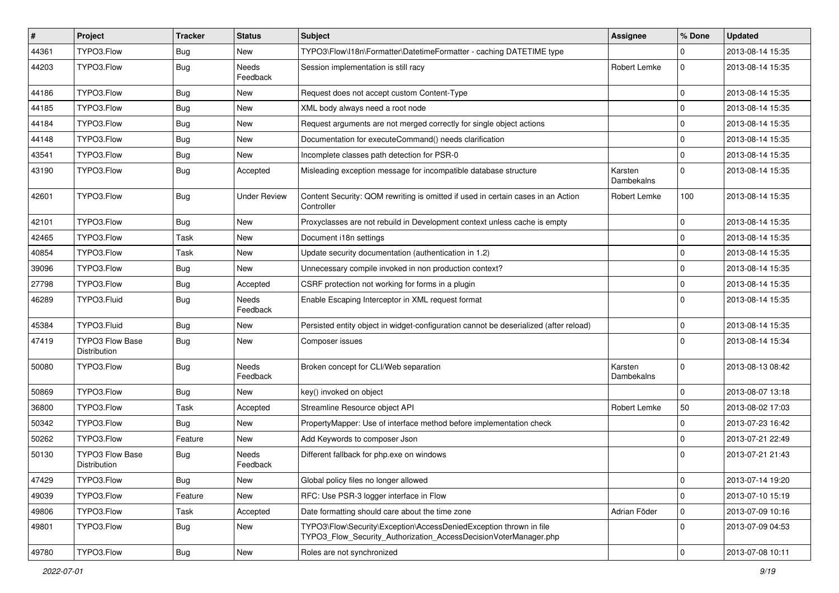| $\vert$ # | Project                                | <b>Tracker</b> | <b>Status</b>            | <b>Subject</b>                                                                                                                         | <b>Assignee</b>       | % Done       | <b>Updated</b>   |
|-----------|----------------------------------------|----------------|--------------------------|----------------------------------------------------------------------------------------------------------------------------------------|-----------------------|--------------|------------------|
| 44361     | TYPO3.Flow                             | <b>Bug</b>     | New                      | TYPO3\Flow\I18n\Formatter\DatetimeFormatter - caching DATETIME type                                                                    |                       | 0            | 2013-08-14 15:35 |
| 44203     | TYPO3.Flow                             | <b>Bug</b>     | <b>Needs</b><br>Feedback | Session implementation is still racy                                                                                                   | Robert Lemke          | $\mathbf 0$  | 2013-08-14 15:35 |
| 44186     | TYPO3.Flow                             | <b>Bug</b>     | New                      | Request does not accept custom Content-Type                                                                                            |                       | 0            | 2013-08-14 15:35 |
| 44185     | TYPO3.Flow                             | <b>Bug</b>     | New                      | XML body always need a root node                                                                                                       |                       | 0            | 2013-08-14 15:35 |
| 44184     | TYPO3.Flow                             | <b>Bug</b>     | New                      | Request arguments are not merged correctly for single object actions                                                                   |                       | $\pmb{0}$    | 2013-08-14 15:35 |
| 44148     | TYPO3.Flow                             | <b>Bug</b>     | New                      | Documentation for executeCommand() needs clarification                                                                                 |                       | 0            | 2013-08-14 15:35 |
| 43541     | TYPO3.Flow                             | <b>Bug</b>     | <b>New</b>               | Incomplete classes path detection for PSR-0                                                                                            |                       | $\mathbf 0$  | 2013-08-14 15:35 |
| 43190     | TYPO3.Flow                             | <b>Bug</b>     | Accepted                 | Misleading exception message for incompatible database structure                                                                       | Karsten<br>Dambekalns | $\mathbf 0$  | 2013-08-14 15:35 |
| 42601     | TYPO3.Flow                             | <b>Bug</b>     | <b>Under Review</b>      | Content Security: QOM rewriting is omitted if used in certain cases in an Action<br>Controller                                         | Robert Lemke          | 100          | 2013-08-14 15:35 |
| 42101     | TYPO3.Flow                             | <b>Bug</b>     | New                      | Proxyclasses are not rebuild in Development context unless cache is empty                                                              |                       | 0            | 2013-08-14 15:35 |
| 42465     | TYPO3.Flow                             | Task           | New                      | Document i18n settings                                                                                                                 |                       | $\mathbf 0$  | 2013-08-14 15:35 |
| 40854     | TYPO3.Flow                             | Task           | New                      | Update security documentation (authentication in 1.2)                                                                                  |                       | 0            | 2013-08-14 15:35 |
| 39096     | TYPO3.Flow                             | <b>Bug</b>     | <b>New</b>               | Unnecessary compile invoked in non production context?                                                                                 |                       | $\mathbf 0$  | 2013-08-14 15:35 |
| 27798     | TYPO3.Flow                             | <b>Bug</b>     | Accepted                 | CSRF protection not working for forms in a plugin                                                                                      |                       | 0            | 2013-08-14 15:35 |
| 46289     | TYPO3.Fluid                            | <b>Bug</b>     | <b>Needs</b><br>Feedback | Enable Escaping Interceptor in XML request format                                                                                      |                       | $\Omega$     | 2013-08-14 15:35 |
| 45384     | TYPO3.Fluid                            | <b>Bug</b>     | New                      | Persisted entity object in widget-configuration cannot be deserialized (after reload)                                                  |                       | 0            | 2013-08-14 15:35 |
| 47419     | <b>TYPO3 Flow Base</b><br>Distribution | <b>Bug</b>     | New                      | Composer issues                                                                                                                        |                       | $\mathbf{0}$ | 2013-08-14 15:34 |
| 50080     | TYPO3.Flow                             | <b>Bug</b>     | Needs<br>Feedback        | Broken concept for CLI/Web separation                                                                                                  | Karsten<br>Dambekalns | $\mathbf 0$  | 2013-08-13 08:42 |
| 50869     | TYPO3.Flow                             | <b>Bug</b>     | New                      | key() invoked on object                                                                                                                |                       | $\mathbf 0$  | 2013-08-07 13:18 |
| 36800     | TYPO3.Flow                             | Task           | Accepted                 | Streamline Resource object API                                                                                                         | Robert Lemke          | 50           | 2013-08-02 17:03 |
| 50342     | TYPO3.Flow                             | <b>Bug</b>     | New                      | PropertyMapper: Use of interface method before implementation check                                                                    |                       | 0            | 2013-07-23 16:42 |
| 50262     | TYPO3.Flow                             | Feature        | New                      | Add Keywords to composer Json                                                                                                          |                       | 0            | 2013-07-21 22:49 |
| 50130     | <b>TYPO3 Flow Base</b><br>Distribution | <b>Bug</b>     | Needs<br>Feedback        | Different fallback for php.exe on windows                                                                                              |                       | 0            | 2013-07-21 21:43 |
| 47429     | TYPO3.Flow                             | Bug            | New                      | Global policy files no longer allowed                                                                                                  |                       | $\pmb{0}$    | 2013-07-14 19:20 |
| 49039     | TYPO3.Flow                             | Feature        | New                      | RFC: Use PSR-3 logger interface in Flow                                                                                                |                       | 0            | 2013-07-10 15:19 |
| 49806     | TYPO3.Flow                             | Task           | Accepted                 | Date formatting should care about the time zone                                                                                        | Adrian Föder          | 0            | 2013-07-09 10:16 |
| 49801     | TYPO3.Flow                             | <b>Bug</b>     | New                      | TYPO3\Flow\Security\Exception\AccessDeniedException thrown in file<br>TYPO3_Flow_Security_Authorization_AccessDecisionVoterManager.php |                       | $\mathbf{0}$ | 2013-07-09 04:53 |
| 49780     | TYPO3.Flow                             | Bug            | New                      | Roles are not synchronized                                                                                                             |                       | $\mathsf{O}$ | 2013-07-08 10:11 |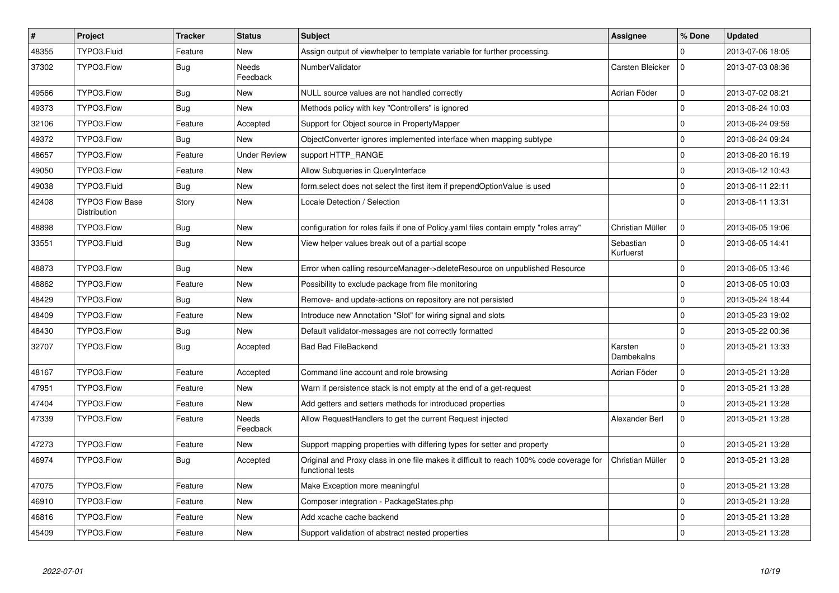| $\vert$ # | Project                                | <b>Tracker</b> | <b>Status</b>            | <b>Subject</b>                                                                                              | <b>Assignee</b>        | % Done      | <b>Updated</b>   |
|-----------|----------------------------------------|----------------|--------------------------|-------------------------------------------------------------------------------------------------------------|------------------------|-------------|------------------|
| 48355     | TYPO3.Fluid                            | Feature        | <b>New</b>               | Assign output of viewhelper to template variable for further processing.                                    |                        | $\Omega$    | 2013-07-06 18:05 |
| 37302     | TYPO3.Flow                             | Bug            | <b>Needs</b><br>Feedback | NumberValidator                                                                                             | Carsten Bleicker       | $\Omega$    | 2013-07-03 08:36 |
| 49566     | TYPO3.Flow                             | Bug            | <b>New</b>               | NULL source values are not handled correctly                                                                | Adrian Föder           | $\mathbf 0$ | 2013-07-02 08:21 |
| 49373     | TYPO3.Flow                             | <b>Bug</b>     | New                      | Methods policy with key "Controllers" is ignored                                                            |                        | $\mathbf 0$ | 2013-06-24 10:03 |
| 32106     | TYPO3.Flow                             | Feature        | Accepted                 | Support for Object source in PropertyMapper                                                                 |                        | $\mathbf 0$ | 2013-06-24 09:59 |
| 49372     | TYPO3.Flow                             | <b>Bug</b>     | New                      | ObjectConverter ignores implemented interface when mapping subtype                                          |                        | $\Omega$    | 2013-06-24 09:24 |
| 48657     | TYPO3.Flow                             | Feature        | <b>Under Review</b>      | support HTTP_RANGE                                                                                          |                        | $\mathbf 0$ | 2013-06-20 16:19 |
| 49050     | TYPO3.Flow                             | Feature        | New                      | Allow Subqueries in QueryInterface                                                                          |                        | $\mathbf 0$ | 2013-06-12 10:43 |
| 49038     | TYPO3.Fluid                            | Bug            | New                      | form.select does not select the first item if prependOptionValue is used                                    |                        | $\mathbf 0$ | 2013-06-11 22:11 |
| 42408     | <b>TYPO3 Flow Base</b><br>Distribution | Story          | New                      | Locale Detection / Selection                                                                                |                        | $\Omega$    | 2013-06-11 13:31 |
| 48898     | TYPO3.Flow                             | <b>Bug</b>     | <b>New</b>               | configuration for roles fails if one of Policy yaml files contain empty "roles array"                       | Christian Müller       | $\mathbf 0$ | 2013-06-05 19:06 |
| 33551     | TYPO3.Fluid                            | Bug            | New                      | View helper values break out of a partial scope                                                             | Sebastian<br>Kurfuerst | $\Omega$    | 2013-06-05 14:41 |
| 48873     | TYPO3.Flow                             | Bug            | <b>New</b>               | Error when calling resourceManager->deleteResource on unpublished Resource                                  |                        | $\Omega$    | 2013-06-05 13:46 |
| 48862     | TYPO3.Flow                             | Feature        | <b>New</b>               | Possibility to exclude package from file monitoring                                                         |                        | $\mathbf 0$ | 2013-06-05 10:03 |
| 48429     | TYPO3.Flow                             | Bug            | New                      | Remove- and update-actions on repository are not persisted                                                  |                        | $\Omega$    | 2013-05-24 18:44 |
| 48409     | TYPO3.Flow                             | Feature        | New                      | Introduce new Annotation "Slot" for wiring signal and slots                                                 |                        | $\mathbf 0$ | 2013-05-23 19:02 |
| 48430     | TYPO3.Flow                             | Bug            | New                      | Default validator-messages are not correctly formatted                                                      |                        | $\mathbf 0$ | 2013-05-22 00:36 |
| 32707     | TYPO3.Flow                             | <b>Bug</b>     | Accepted                 | <b>Bad Bad FileBackend</b>                                                                                  | Karsten<br>Dambekalns  | $\mathbf 0$ | 2013-05-21 13:33 |
| 48167     | TYPO3.Flow                             | Feature        | Accepted                 | Command line account and role browsing                                                                      | Adrian Föder           | $\pmb{0}$   | 2013-05-21 13:28 |
| 47951     | TYPO3.Flow                             | Feature        | <b>New</b>               | Warn if persistence stack is not empty at the end of a get-request                                          |                        | $\mathbf 0$ | 2013-05-21 13:28 |
| 47404     | TYPO3.Flow                             | Feature        | <b>New</b>               | Add getters and setters methods for introduced properties                                                   |                        | $\mathbf 0$ | 2013-05-21 13:28 |
| 47339     | TYPO3.Flow                             | Feature        | Needs<br>Feedback        | Allow RequestHandlers to get the current Request injected                                                   | Alexander Berl         | $\mathbf 0$ | 2013-05-21 13:28 |
| 47273     | TYPO3.Flow                             | Feature        | <b>New</b>               | Support mapping properties with differing types for setter and property                                     |                        | $\mathbf 0$ | 2013-05-21 13:28 |
| 46974     | TYPO3.Flow                             | Bug            | Accepted                 | Original and Proxy class in one file makes it difficult to reach 100% code coverage for<br>functional tests | Christian Müller       | $\mathbf 0$ | 2013-05-21 13:28 |
| 47075     | TYPO3.Flow                             | Feature        | New                      | Make Exception more meaningful                                                                              |                        | $\pmb{0}$   | 2013-05-21 13:28 |
| 46910     | TYPO3.Flow                             | Feature        | <b>New</b>               | Composer integration - PackageStates.php                                                                    |                        | $\mathbf 0$ | 2013-05-21 13:28 |
| 46816     | TYPO3.Flow                             | Feature        | New                      | Add xcache cache backend                                                                                    |                        | $\mathbf 0$ | 2013-05-21 13:28 |
| 45409     | TYPO3.Flow                             | Feature        | <b>New</b>               | Support validation of abstract nested properties                                                            |                        | $\Omega$    | 2013-05-21 13:28 |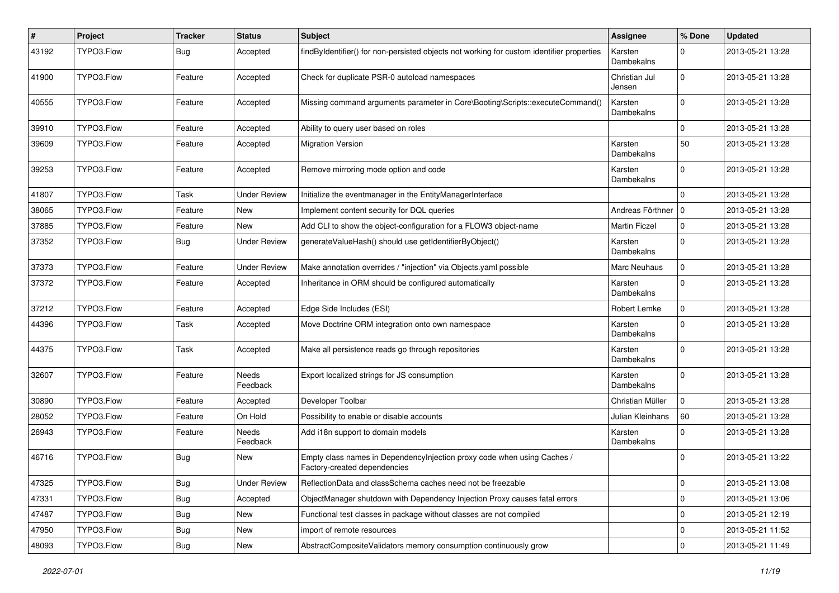| ∦     | Project    | <b>Tracker</b> | <b>Status</b>       | <b>Subject</b>                                                                                          | <b>Assignee</b>         | % Done      | <b>Updated</b>   |
|-------|------------|----------------|---------------------|---------------------------------------------------------------------------------------------------------|-------------------------|-------------|------------------|
| 43192 | TYPO3.Flow | Bug            | Accepted            | findByIdentifier() for non-persisted objects not working for custom identifier properties               | Karsten<br>Dambekalns   | $\Omega$    | 2013-05-21 13:28 |
| 41900 | TYPO3.Flow | Feature        | Accepted            | Check for duplicate PSR-0 autoload namespaces                                                           | Christian Jul<br>Jensen | $\mathbf 0$ | 2013-05-21 13:28 |
| 40555 | TYPO3.Flow | Feature        | Accepted            | Missing command arguments parameter in Core\Booting\Scripts::executeCommand()                           | Karsten<br>Dambekalns   | $\mathbf 0$ | 2013-05-21 13:28 |
| 39910 | TYPO3.Flow | Feature        | Accepted            | Ability to query user based on roles                                                                    |                         | $\Omega$    | 2013-05-21 13:28 |
| 39609 | TYPO3.Flow | Feature        | Accepted            | <b>Migration Version</b>                                                                                | Karsten<br>Dambekalns   | 50          | 2013-05-21 13:28 |
| 39253 | TYPO3.Flow | Feature        | Accepted            | Remove mirroring mode option and code                                                                   | Karsten<br>Dambekalns   | $\Omega$    | 2013-05-21 13:28 |
| 41807 | TYPO3.Flow | Task           | <b>Under Review</b> | Initialize the eventmanager in the EntityManagerInterface                                               |                         | $\Omega$    | 2013-05-21 13:28 |
| 38065 | TYPO3.Flow | Feature        | New                 | Implement content security for DQL queries                                                              | Andreas Förthner   0    |             | 2013-05-21 13:28 |
| 37885 | TYPO3.Flow | Feature        | New                 | Add CLI to show the object-configuration for a FLOW3 object-name                                        | <b>Martin Ficzel</b>    | $\mathbf 0$ | 2013-05-21 13:28 |
| 37352 | TYPO3.Flow | Bug            | <b>Under Review</b> | generateValueHash() should use getIdentifierByObject()                                                  | Karsten<br>Dambekalns   | $\Omega$    | 2013-05-21 13:28 |
| 37373 | TYPO3.Flow | Feature        | <b>Under Review</b> | Make annotation overrides / "injection" via Objects yaml possible                                       | Marc Neuhaus            | $\mathbf 0$ | 2013-05-21 13:28 |
| 37372 | TYPO3.Flow | Feature        | Accepted            | Inheritance in ORM should be configured automatically                                                   | Karsten<br>Dambekalns   | $\Omega$    | 2013-05-21 13:28 |
| 37212 | TYPO3.Flow | Feature        | Accepted            | Edge Side Includes (ESI)                                                                                | Robert Lemke            | $\mathbf 0$ | 2013-05-21 13:28 |
| 44396 | TYPO3.Flow | Task           | Accepted            | Move Doctrine ORM integration onto own namespace                                                        | Karsten<br>Dambekalns   | $\Omega$    | 2013-05-21 13:28 |
| 44375 | TYPO3.Flow | Task           | Accepted            | Make all persistence reads go through repositories                                                      | Karsten<br>Dambekalns   | $\Omega$    | 2013-05-21 13:28 |
| 32607 | TYPO3.Flow | Feature        | Needs<br>Feedback   | Export localized strings for JS consumption                                                             | Karsten<br>Dambekalns   | $\Omega$    | 2013-05-21 13:28 |
| 30890 | TYPO3.Flow | Feature        | Accepted            | Developer Toolbar                                                                                       | Christian Müller        | $\mathbf 0$ | 2013-05-21 13:28 |
| 28052 | TYPO3.Flow | Feature        | On Hold             | Possibility to enable or disable accounts                                                               | Julian Kleinhans        | 60          | 2013-05-21 13:28 |
| 26943 | TYPO3.Flow | Feature        | Needs<br>Feedback   | Add i18n support to domain models                                                                       | Karsten<br>Dambekalns   | $\Omega$    | 2013-05-21 13:28 |
| 46716 | TYPO3.Flow | <b>Bug</b>     | New                 | Empty class names in DependencyInjection proxy code when using Caches /<br>Factory-created dependencies |                         | $\Omega$    | 2013-05-21 13:22 |
| 47325 | TYPO3.Flow | <b>Bug</b>     | <b>Under Review</b> | ReflectionData and classSchema caches need not be freezable                                             |                         | $\mathbf 0$ | 2013-05-21 13:08 |
| 47331 | TYPO3.Flow | <b>Bug</b>     | Accepted            | ObjectManager shutdown with Dependency Injection Proxy causes fatal errors                              |                         | $\mathbf 0$ | 2013-05-21 13:06 |
| 47487 | TYPO3.Flow | <b>Bug</b>     | New                 | Functional test classes in package without classes are not compiled                                     |                         | 0           | 2013-05-21 12:19 |
| 47950 | TYPO3.Flow | <b>Bug</b>     | New                 | import of remote resources                                                                              |                         | $\mathbf 0$ | 2013-05-21 11:52 |
| 48093 | TYPO3.Flow | <b>Bug</b>     | New                 | AbstractCompositeValidators memory consumption continuously grow                                        |                         | $\mathbf 0$ | 2013-05-21 11:49 |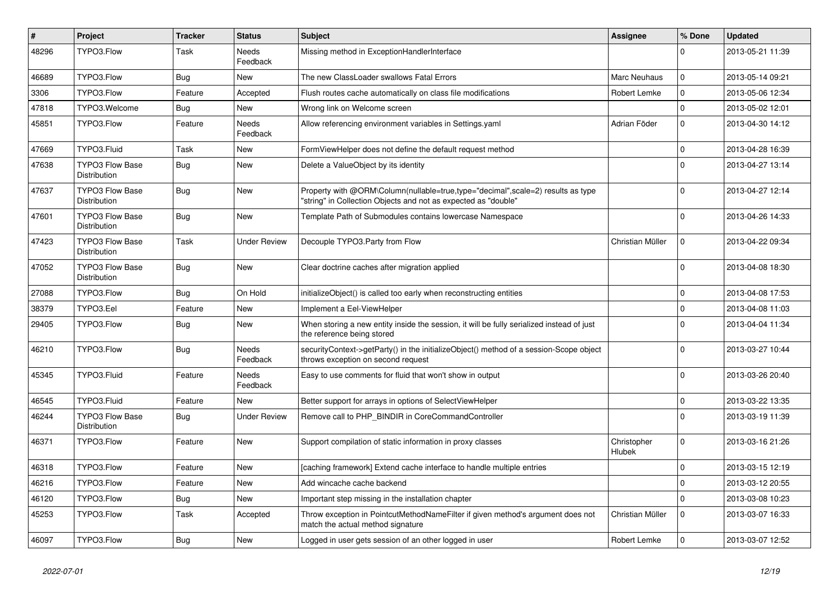| $\sharp$ | Project                                       | <b>Tracker</b> | <b>Status</b>            | <b>Subject</b>                                                                                                                                    | Assignee                     | % Done       | <b>Updated</b>   |
|----------|-----------------------------------------------|----------------|--------------------------|---------------------------------------------------------------------------------------------------------------------------------------------------|------------------------------|--------------|------------------|
| 48296    | TYPO3.Flow                                    | Task           | Needs<br>Feedback        | Missing method in ExceptionHandlerInterface                                                                                                       |                              | $\Omega$     | 2013-05-21 11:39 |
| 46689    | TYPO3.Flow                                    | <b>Bug</b>     | New                      | The new ClassLoader swallows Fatal Errors                                                                                                         | Marc Neuhaus                 | $\mathbf 0$  | 2013-05-14 09:21 |
| 3306     | TYPO3.Flow                                    | Feature        | Accepted                 | Flush routes cache automatically on class file modifications                                                                                      | Robert Lemke                 | $\mathbf{0}$ | 2013-05-06 12:34 |
| 47818    | TYPO3.Welcome                                 | <b>Bug</b>     | New                      | Wrong link on Welcome screen                                                                                                                      |                              | $\mathbf 0$  | 2013-05-02 12:01 |
| 45851    | TYPO3.Flow                                    | Feature        | <b>Needs</b><br>Feedback | Allow referencing environment variables in Settings.yaml                                                                                          | Adrian Föder                 | $\Omega$     | 2013-04-30 14:12 |
| 47669    | TYPO3.Fluid                                   | Task           | <b>New</b>               | FormViewHelper does not define the default request method                                                                                         |                              | $\mathbf 0$  | 2013-04-28 16:39 |
| 47638    | <b>TYPO3 Flow Base</b><br>Distribution        | <b>Bug</b>     | New                      | Delete a ValueObject by its identity                                                                                                              |                              | $\Omega$     | 2013-04-27 13:14 |
| 47637    | <b>TYPO3 Flow Base</b><br>Distribution        | <b>Bug</b>     | <b>New</b>               | Property with @ORM\Column(nullable=true,type="decimal",scale=2) results as type<br>"string" in Collection Objects and not as expected as "double" |                              | $\Omega$     | 2013-04-27 12:14 |
| 47601    | <b>TYPO3 Flow Base</b><br>Distribution        | <b>Bug</b>     | New                      | Template Path of Submodules contains lowercase Namespace                                                                                          |                              | $\Omega$     | 2013-04-26 14:33 |
| 47423    | <b>TYPO3 Flow Base</b><br>Distribution        | Task           | <b>Under Review</b>      | Decouple TYPO3.Party from Flow                                                                                                                    | Christian Müller             | $\mathsf 0$  | 2013-04-22 09:34 |
| 47052    | <b>TYPO3 Flow Base</b><br>Distribution        | <b>Bug</b>     | New                      | Clear doctrine caches after migration applied                                                                                                     |                              | $\Omega$     | 2013-04-08 18:30 |
| 27088    | TYPO3.Flow                                    | <b>Bug</b>     | On Hold                  | initializeObject() is called too early when reconstructing entities                                                                               |                              | $\Omega$     | 2013-04-08 17:53 |
| 38379    | TYPO3.Eel                                     | Feature        | New                      | Implement a Eel-ViewHelper                                                                                                                        |                              | $\Omega$     | 2013-04-08 11:03 |
| 29405    | TYPO3.Flow                                    | <b>Bug</b>     | New                      | When storing a new entity inside the session, it will be fully serialized instead of just<br>the reference being stored                           |                              | $\Omega$     | 2013-04-04 11:34 |
| 46210    | TYPO3.Flow                                    | <b>Bug</b>     | Needs<br>Feedback        | securityContext->getParty() in the initializeObject() method of a session-Scope object<br>throws exception on second request                      |                              | $\Omega$     | 2013-03-27 10:44 |
| 45345    | TYPO3.Fluid                                   | Feature        | Needs<br>Feedback        | Easy to use comments for fluid that won't show in output                                                                                          |                              | $\Omega$     | 2013-03-26 20:40 |
| 46545    | TYPO3.Fluid                                   | Feature        | <b>New</b>               | Better support for arrays in options of SelectViewHelper                                                                                          |                              | $\Omega$     | 2013-03-22 13:35 |
| 46244    | <b>TYPO3 Flow Base</b><br><b>Distribution</b> | <b>Bug</b>     | <b>Under Review</b>      | Remove call to PHP_BINDIR in CoreCommandController                                                                                                |                              | $\Omega$     | 2013-03-19 11:39 |
| 46371    | TYPO3.Flow                                    | Feature        | <b>New</b>               | Support compilation of static information in proxy classes                                                                                        | Christopher<br><b>Hlubek</b> | $\Omega$     | 2013-03-16 21:26 |
| 46318    | TYPO3.Flow                                    | Feature        | <b>New</b>               | [caching framework] Extend cache interface to handle multiple entries                                                                             |                              | $\mathbf 0$  | 2013-03-15 12:19 |
| 46216    | TYPO3.Flow                                    | Feature        | New                      | Add wincache cache backend                                                                                                                        |                              | $\mathbf 0$  | 2013-03-12 20:55 |
| 46120    | TYPO3.Flow                                    | <b>Bug</b>     | <b>New</b>               | Important step missing in the installation chapter                                                                                                |                              | $\mathbf 0$  | 2013-03-08 10:23 |
| 45253    | TYPO3.Flow                                    | Task           | Accepted                 | Throw exception in PointcutMethodNameFilter if given method's argument does not<br>match the actual method signature                              | Christian Müller             | $\Omega$     | 2013-03-07 16:33 |
| 46097    | TYPO3.Flow                                    | <b>Bug</b>     | <b>New</b>               | Logged in user gets session of an other logged in user                                                                                            | Robert Lemke                 | $\Omega$     | 2013-03-07 12:52 |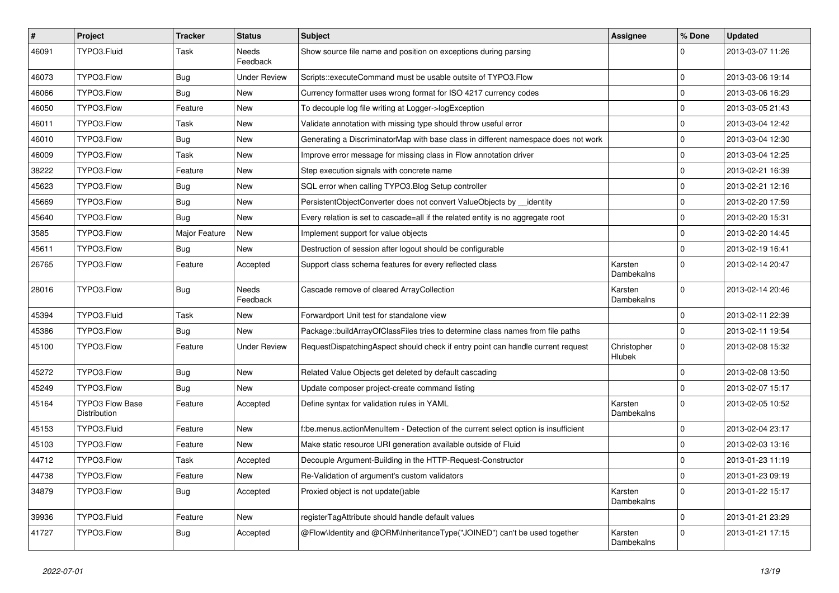| $\sharp$ | Project                                | <b>Tracker</b> | <b>Status</b>       | <b>Subject</b>                                                                     | <b>Assignee</b>       | % Done       | <b>Updated</b>   |
|----------|----------------------------------------|----------------|---------------------|------------------------------------------------------------------------------------|-----------------------|--------------|------------------|
| 46091    | TYPO3.Fluid                            | Task           | Needs<br>Feedback   | Show source file name and position on exceptions during parsing                    |                       |              | 2013-03-07 11:26 |
| 46073    | TYPO3.Flow                             | <b>Bug</b>     | <b>Under Review</b> | Scripts::executeCommand must be usable outsite of TYPO3.Flow                       |                       | $\mathbf 0$  | 2013-03-06 19:14 |
| 46066    | TYPO3.Flow                             | <b>Bug</b>     | New                 | Currency formatter uses wrong format for ISO 4217 currency codes                   |                       | $\mathbf 0$  | 2013-03-06 16:29 |
| 46050    | TYPO3.Flow                             | Feature        | New                 | To decouple log file writing at Logger->logException                               |                       | $\mathbf 0$  | 2013-03-05 21:43 |
| 46011    | TYPO3.Flow                             | Task           | New                 | Validate annotation with missing type should throw useful error                    |                       | $\mathbf 0$  | 2013-03-04 12:42 |
| 46010    | TYPO3.Flow                             | <b>Bug</b>     | New                 | Generating a DiscriminatorMap with base class in different namespace does not work |                       | $\mathbf 0$  | 2013-03-04 12:30 |
| 46009    | TYPO3.Flow                             | Task           | New                 | Improve error message for missing class in Flow annotation driver                  |                       | $\mathbf 0$  | 2013-03-04 12:25 |
| 38222    | TYPO3.Flow                             | Feature        | New                 | Step execution signals with concrete name                                          |                       | $\mathbf 0$  | 2013-02-21 16:39 |
| 45623    | TYPO3.Flow                             | <b>Bug</b>     | <b>New</b>          | SQL error when calling TYPO3. Blog Setup controller                                |                       | 0            | 2013-02-21 12:16 |
| 45669    | TYPO3.Flow                             | Bug            | New                 | PersistentObjectConverter does not convert ValueObjects by identity                |                       | $\mathbf 0$  | 2013-02-20 17:59 |
| 45640    | TYPO3.Flow                             | Bug            | New                 | Every relation is set to cascade=all if the related entity is no aggregate root    |                       | $\mathbf 0$  | 2013-02-20 15:31 |
| 3585     | TYPO3.Flow                             | Major Feature  | New                 | Implement support for value objects                                                |                       | $\mathbf 0$  | 2013-02-20 14:45 |
| 45611    | TYPO3.Flow                             | <b>Bug</b>     | New                 | Destruction of session after logout should be configurable                         |                       | $\mathbf 0$  | 2013-02-19 16:41 |
| 26765    | TYPO3.Flow                             | Feature        | Accepted            | Support class schema features for every reflected class                            | Karsten<br>Dambekalns | $\Omega$     | 2013-02-14 20:47 |
| 28016    | TYPO3.Flow                             | <b>Bug</b>     | Needs<br>Feedback   | Cascade remove of cleared ArrayCollection                                          | Karsten<br>Dambekalns | $\Omega$     | 2013-02-14 20:46 |
| 45394    | TYPO3.Fluid                            | Task           | New                 | Forwardport Unit test for standalone view                                          |                       | $\mathbf 0$  | 2013-02-11 22:39 |
| 45386    | TYPO3.Flow                             | Bug            | New                 | Package::buildArrayOfClassFiles tries to determine class names from file paths     |                       | $\mathbf 0$  | 2013-02-11 19:54 |
| 45100    | TYPO3.Flow                             | Feature        | <b>Under Review</b> | RequestDispatchingAspect should check if entry point can handle current request    | Christopher<br>Hlubek | $\Omega$     | 2013-02-08 15:32 |
| 45272    | TYPO3.Flow                             | <b>Bug</b>     | New                 | Related Value Objects get deleted by default cascading                             |                       | $\mathbf 0$  | 2013-02-08 13:50 |
| 45249    | TYPO3.Flow                             | <b>Bug</b>     | New                 | Update composer project-create command listing                                     |                       | $\mathbf 0$  | 2013-02-07 15:17 |
| 45164    | <b>TYPO3 Flow Base</b><br>Distribution | Feature        | Accepted            | Define syntax for validation rules in YAML                                         | Karsten<br>Dambekalns | $\mathbf 0$  | 2013-02-05 10:52 |
| 45153    | TYPO3.Fluid                            | Feature        | New                 | f:be.menus.actionMenuItem - Detection of the current select option is insufficient |                       | $\mathbf 0$  | 2013-02-04 23:17 |
| 45103    | TYPO3.Flow                             | Feature        | New                 | Make static resource URI generation available outside of Fluid                     |                       | $\mathbf 0$  | 2013-02-03 13:16 |
| 44712    | TYPO3.Flow                             | Task           | Accepted            | Decouple Argument-Building in the HTTP-Request-Constructor                         |                       | $\mathbf 0$  | 2013-01-23 11:19 |
| 44738    | TYPO3.Flow                             | Feature        | New                 | Re-Validation of argument's custom validators                                      |                       | $\mathbf{0}$ | 2013-01-23 09:19 |
| 34879    | TYPO3.Flow                             | <b>Bug</b>     | Accepted            | Proxied object is not update()able                                                 | Karsten<br>Dambekalns | $\mathbf 0$  | 2013-01-22 15:17 |
| 39936    | TYPO3.Fluid                            | Feature        | New                 | registerTagAttribute should handle default values                                  |                       | $\pmb{0}$    | 2013-01-21 23:29 |
| 41727    | TYPO3.Flow                             | <b>Bug</b>     | Accepted            | @Flow\Identity and @ORM\InheritanceType("JOINED") can't be used together           | Karsten<br>Dambekalns | 0            | 2013-01-21 17:15 |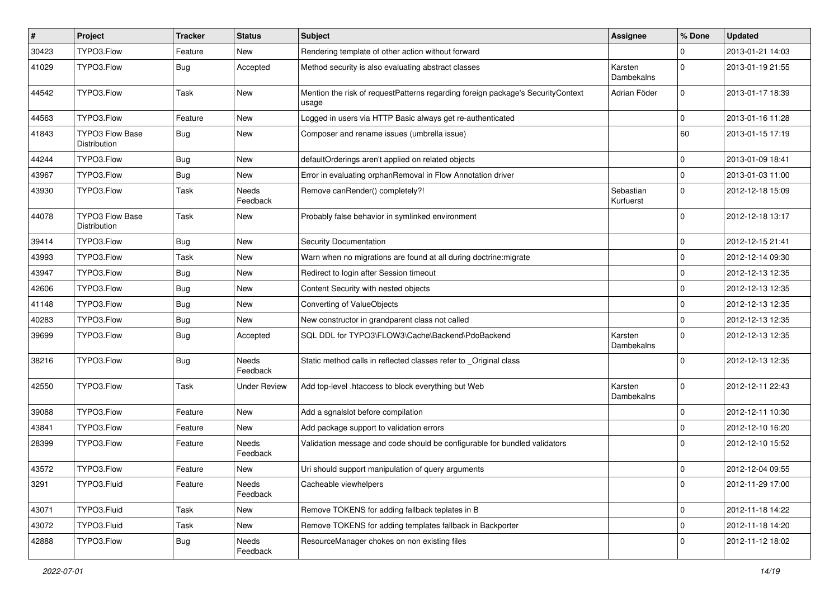| #     | Project                                | <b>Tracker</b> | <b>Status</b>            | <b>Subject</b>                                                                           | <b>Assignee</b>        | % Done      | <b>Updated</b>   |
|-------|----------------------------------------|----------------|--------------------------|------------------------------------------------------------------------------------------|------------------------|-------------|------------------|
| 30423 | TYPO3.Flow                             | Feature        | New                      | Rendering template of other action without forward                                       |                        | 0           | 2013-01-21 14:03 |
| 41029 | TYPO3.Flow                             | <b>Bug</b>     | Accepted                 | Method security is also evaluating abstract classes                                      | Karsten<br>Dambekalns  | $\Omega$    | 2013-01-19 21:55 |
| 44542 | TYPO3.Flow                             | Task           | New                      | Mention the risk of requestPatterns regarding foreign package's SecurityContext<br>usage | Adrian Föder           | $\mathbf 0$ | 2013-01-17 18:39 |
| 44563 | TYPO3.Flow                             | Feature        | New                      | Logged in users via HTTP Basic always get re-authenticated                               |                        | $\mathbf 0$ | 2013-01-16 11:28 |
| 41843 | <b>TYPO3 Flow Base</b><br>Distribution | <b>Bug</b>     | New                      | Composer and rename issues (umbrella issue)                                              |                        | 60          | 2013-01-15 17:19 |
| 44244 | TYPO3.Flow                             | <b>Bug</b>     | New                      | defaultOrderings aren't applied on related objects                                       |                        | $\mathbf 0$ | 2013-01-09 18:41 |
| 43967 | TYPO3.Flow                             | <b>Bug</b>     | New                      | Error in evaluating orphanRemoval in Flow Annotation driver                              |                        | $\mathbf 0$ | 2013-01-03 11:00 |
| 43930 | TYPO3.Flow                             | Task           | Needs<br>Feedback        | Remove canRender() completely?!                                                          | Sebastian<br>Kurfuerst | $\mathbf 0$ | 2012-12-18 15:09 |
| 44078 | TYPO3 Flow Base<br>Distribution        | Task           | New                      | Probably false behavior in symlinked environment                                         |                        | $\Omega$    | 2012-12-18 13:17 |
| 39414 | TYPO3.Flow                             | <b>Bug</b>     | <b>New</b>               | Security Documentation                                                                   |                        | $\mathbf 0$ | 2012-12-15 21:41 |
| 43993 | TYPO3.Flow                             | Task           | <b>New</b>               | Warn when no migrations are found at all during doctrine: migrate                        |                        | 0           | 2012-12-14 09:30 |
| 43947 | TYPO3.Flow                             | Bug            | New                      | Redirect to login after Session timeout                                                  |                        | $\mathbf 0$ | 2012-12-13 12:35 |
| 42606 | TYPO3.Flow                             | <b>Bug</b>     | New                      | Content Security with nested objects                                                     |                        | $\mathbf 0$ | 2012-12-13 12:35 |
| 41148 | TYPO3.Flow                             | Bug            | New                      | Converting of ValueObjects                                                               |                        | 0           | 2012-12-13 12:35 |
| 40283 | TYPO3.Flow                             | <b>Bug</b>     | New                      | New constructor in grandparent class not called                                          |                        | $\mathbf 0$ | 2012-12-13 12:35 |
| 39699 | TYPO3.Flow                             | <b>Bug</b>     | Accepted                 | SQL DDL for TYPO3\FLOW3\Cache\Backend\PdoBackend                                         | Karsten<br>Dambekalns  | $\Omega$    | 2012-12-13 12:35 |
| 38216 | TYPO3.Flow                             | <b>Bug</b>     | Needs<br>Feedback        | Static method calls in reflected classes refer to _Original class                        |                        | $\Omega$    | 2012-12-13 12:35 |
| 42550 | TYPO3.Flow                             | Task           | <b>Under Review</b>      | Add top-level .htaccess to block everything but Web                                      | Karsten<br>Dambekalns  | $\mathbf 0$ | 2012-12-11 22:43 |
| 39088 | TYPO3.Flow                             | Feature        | <b>New</b>               | Add a sgnalslot before compilation                                                       |                        | $\mathbf 0$ | 2012-12-11 10:30 |
| 43841 | TYPO3.Flow                             | Feature        | New                      | Add package support to validation errors                                                 |                        | $\mathbf 0$ | 2012-12-10 16:20 |
| 28399 | TYPO3.Flow                             | Feature        | <b>Needs</b><br>Feedback | Validation message and code should be configurable for bundled validators                |                        | $\Omega$    | 2012-12-10 15:52 |
| 43572 | TYPO3.Flow                             | Feature        | New                      | Uri should support manipulation of query arguments                                       |                        | $\mathbf 0$ | 2012-12-04 09:55 |
| 3291  | TYPO3.Fluid                            | Feature        | Needs<br>Feedback        | Cacheable viewhelpers                                                                    |                        | 0           | 2012-11-29 17:00 |
| 43071 | TYPO3.Fluid                            | Task           | New                      | Remove TOKENS for adding fallback teplates in B                                          |                        | $\mathbf 0$ | 2012-11-18 14:22 |
| 43072 | TYPO3.Fluid                            | Task           | New                      | Remove TOKENS for adding templates fallback in Backporter                                |                        | $\mathbf 0$ | 2012-11-18 14:20 |
| 42888 | TYPO3.Flow                             | <b>Bug</b>     | Needs<br>Feedback        | ResourceManager chokes on non existing files                                             |                        | 0           | 2012-11-12 18:02 |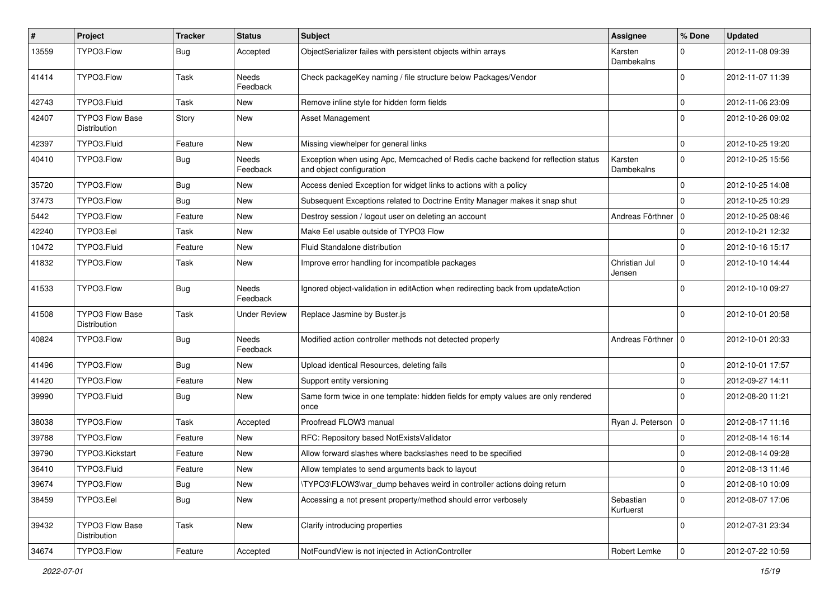| #     | Project                                | <b>Tracker</b> | <b>Status</b>            | <b>Subject</b>                                                                                               | <b>Assignee</b>         | % Done       | <b>Updated</b>   |
|-------|----------------------------------------|----------------|--------------------------|--------------------------------------------------------------------------------------------------------------|-------------------------|--------------|------------------|
| 13559 | TYPO3.Flow                             | <b>Bug</b>     | Accepted                 | ObjectSerializer failes with persistent objects within arrays                                                | Karsten<br>Dambekalns   | $\Omega$     | 2012-11-08 09:39 |
| 41414 | TYPO3.Flow                             | Task           | <b>Needs</b><br>Feedback | Check packageKey naming / file structure below Packages/Vendor                                               |                         | $\Omega$     | 2012-11-07 11:39 |
| 42743 | TYPO3.Fluid                            | Task           | <b>New</b>               | Remove inline style for hidden form fields                                                                   |                         | $\mathbf 0$  | 2012-11-06 23:09 |
| 42407 | <b>TYPO3 Flow Base</b><br>Distribution | Story          | New                      | <b>Asset Management</b>                                                                                      |                         | $\Omega$     | 2012-10-26 09:02 |
| 42397 | TYPO3.Fluid                            | Feature        | New                      | Missing viewhelper for general links                                                                         |                         | $\mathbf 0$  | 2012-10-25 19:20 |
| 40410 | TYPO3.Flow                             | <b>Bug</b>     | Needs<br>Feedback        | Exception when using Apc, Memcached of Redis cache backend for reflection status<br>and object configuration | Karsten<br>Dambekalns   | $\mathbf 0$  | 2012-10-25 15:56 |
| 35720 | TYPO3.Flow                             | <b>Bug</b>     | New                      | Access denied Exception for widget links to actions with a policy                                            |                         | $\mathbf 0$  | 2012-10-25 14:08 |
| 37473 | TYPO3.Flow                             | <b>Bug</b>     | New                      | Subsequent Exceptions related to Doctrine Entity Manager makes it snap shut                                  |                         | $\Omega$     | 2012-10-25 10:29 |
| 5442  | TYPO3.Flow                             | Feature        | <b>New</b>               | Destroy session / logout user on deleting an account                                                         | Andreas Förthner   0    |              | 2012-10-25 08:46 |
| 42240 | TYPO3.Eel                              | Task           | New                      | Make Eel usable outside of TYPO3 Flow                                                                        |                         | $\mathbf 0$  | 2012-10-21 12:32 |
| 10472 | TYPO3.Fluid                            | Feature        | New                      | Fluid Standalone distribution                                                                                |                         | $\mathbf 0$  | 2012-10-16 15:17 |
| 41832 | TYPO3.Flow                             | Task           | New                      | Improve error handling for incompatible packages                                                             | Christian Jul<br>Jensen | $\mathbf 0$  | 2012-10-10 14:44 |
| 41533 | TYPO3.Flow                             | <b>Bug</b>     | <b>Needs</b><br>Feedback | Ignored object-validation in editAction when redirecting back from updateAction                              |                         | $\Omega$     | 2012-10-10 09:27 |
| 41508 | TYPO3 Flow Base<br>Distribution        | Task           | <b>Under Review</b>      | Replace Jasmine by Buster.js                                                                                 |                         | $\Omega$     | 2012-10-01 20:58 |
| 40824 | TYPO3.Flow                             | <b>Bug</b>     | Needs<br>Feedback        | Modified action controller methods not detected properly                                                     | Andreas Förthner        | 0            | 2012-10-01 20:33 |
| 41496 | TYPO3.Flow                             | <b>Bug</b>     | <b>New</b>               | Upload identical Resources, deleting fails                                                                   |                         | $\mathbf 0$  | 2012-10-01 17:57 |
| 41420 | TYPO3.Flow                             | Feature        | New                      | Support entity versioning                                                                                    |                         | $\mathbf 0$  | 2012-09-27 14:11 |
| 39990 | TYPO3.Fluid                            | <b>Bug</b>     | New                      | Same form twice in one template: hidden fields for empty values are only rendered<br>once                    |                         | $\Omega$     | 2012-08-20 11:21 |
| 38038 | TYPO3.Flow                             | Task           | Accepted                 | Proofread FLOW3 manual                                                                                       | Ryan J. Peterson        | $\mathbf 0$  | 2012-08-17 11:16 |
| 39788 | TYPO3.Flow                             | Feature        | New                      | RFC: Repository based NotExistsValidator                                                                     |                         | 0            | 2012-08-14 16:14 |
| 39790 | TYPO3.Kickstart                        | Feature        | New                      | Allow forward slashes where backslashes need to be specified                                                 |                         | $\mathbf 0$  | 2012-08-14 09:28 |
| 36410 | TYPO3.Fluid                            | Feature        | New                      | Allow templates to send arguments back to layout                                                             |                         | 0            | 2012-08-13 11:46 |
| 39674 | TYPO3.Flow                             | <b>Bug</b>     | New                      | \TYPO3\FLOW3\var_dump behaves weird in controller actions doing return                                       |                         | 0            | 2012-08-10 10:09 |
| 38459 | TYPO3.Eel                              | <b>Bug</b>     | New                      | Accessing a not present property/method should error verbosely                                               | Sebastian<br>Kurfuerst  | $\mathbf 0$  | 2012-08-07 17:06 |
| 39432 | <b>TYPO3 Flow Base</b><br>Distribution | Task           | New                      | Clarify introducing properties                                                                               |                         | $\mathbf 0$  | 2012-07-31 23:34 |
| 34674 | TYPO3.Flow                             | Feature        | Accepted                 | NotFoundView is not injected in ActionController                                                             | Robert Lemke            | $\mathsf{O}$ | 2012-07-22 10:59 |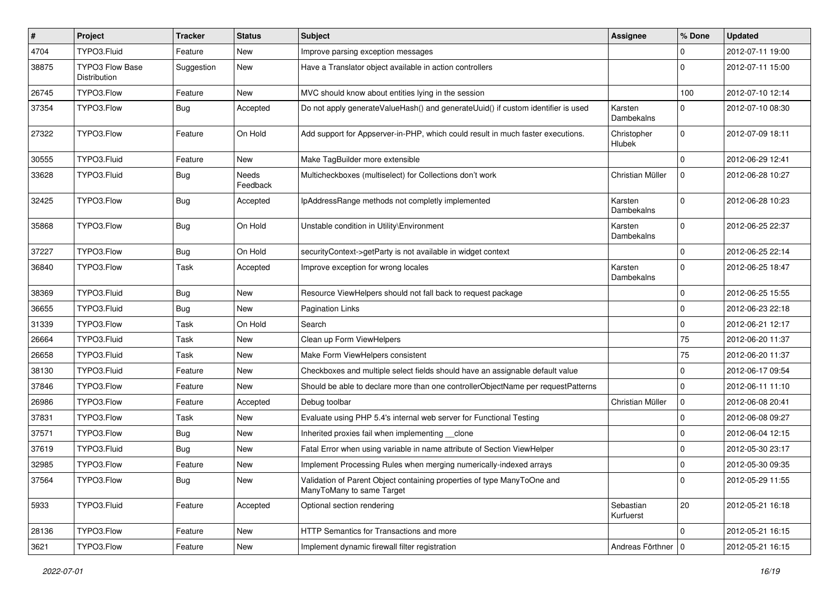| $\pmb{\#}$ | Project                                | <b>Tracker</b> | <b>Status</b>            | <b>Subject</b>                                                                                       | <b>Assignee</b>        | % Done      | <b>Updated</b>   |
|------------|----------------------------------------|----------------|--------------------------|------------------------------------------------------------------------------------------------------|------------------------|-------------|------------------|
| 4704       | TYPO3.Fluid                            | Feature        | <b>New</b>               | Improve parsing exception messages                                                                   |                        | 0           | 2012-07-11 19:00 |
| 38875      | <b>TYPO3 Flow Base</b><br>Distribution | Suggestion     | New                      | Have a Translator object available in action controllers                                             |                        | $\Omega$    | 2012-07-11 15:00 |
| 26745      | TYPO3.Flow                             | Feature        | New                      | MVC should know about entities lying in the session                                                  |                        | 100         | 2012-07-10 12:14 |
| 37354      | TYPO3.Flow                             | Bug            | Accepted                 | Do not apply generateValueHash() and generateUuid() if custom identifier is used                     | Karsten<br>Dambekalns  | 0           | 2012-07-10 08:30 |
| 27322      | TYPO3.Flow                             | Feature        | On Hold                  | Add support for Appserver-in-PHP, which could result in much faster executions.                      | Christopher<br>Hlubek  | $\mathbf 0$ | 2012-07-09 18:11 |
| 30555      | TYPO3.Fluid                            | Feature        | New                      | Make TagBuilder more extensible                                                                      |                        | $\Omega$    | 2012-06-29 12:41 |
| 33628      | TYPO3.Fluid                            | <b>Bug</b>     | <b>Needs</b><br>Feedback | Multicheckboxes (multiselect) for Collections don't work                                             | Christian Müller       | $\mathbf 0$ | 2012-06-28 10:27 |
| 32425      | TYPO3.Flow                             | <b>Bug</b>     | Accepted                 | IpAddressRange methods not completly implemented                                                     | Karsten<br>Dambekalns  | $\Omega$    | 2012-06-28 10:23 |
| 35868      | TYPO3.Flow                             | <b>Bug</b>     | On Hold                  | Unstable condition in Utility\Environment                                                            | Karsten<br>Dambekalns  | $\Omega$    | 2012-06-25 22:37 |
| 37227      | TYPO3.Flow                             | <b>Bug</b>     | On Hold                  | securityContext->getParty is not available in widget context                                         |                        | 0           | 2012-06-25 22:14 |
| 36840      | TYPO3.Flow                             | Task           | Accepted                 | Improve exception for wrong locales                                                                  | Karsten<br>Dambekalns  | 0           | 2012-06-25 18:47 |
| 38369      | TYPO3.Fluid                            | Bug            | New                      | Resource ViewHelpers should not fall back to request package                                         |                        | 0           | 2012-06-25 15:55 |
| 36655      | TYPO3.Fluid                            | Bug            | <b>New</b>               | <b>Pagination Links</b>                                                                              |                        | 0           | 2012-06-23 22:18 |
| 31339      | TYPO3.Flow                             | Task           | On Hold                  | Search                                                                                               |                        | 0           | 2012-06-21 12:17 |
| 26664      | TYPO3.Fluid                            | Task           | New                      | Clean up Form ViewHelpers                                                                            |                        | 75          | 2012-06-20 11:37 |
| 26658      | TYPO3.Fluid                            | Task           | New                      | Make Form ViewHelpers consistent                                                                     |                        | 75          | 2012-06-20 11:37 |
| 38130      | TYPO3.Fluid                            | Feature        | New                      | Checkboxes and multiple select fields should have an assignable default value                        |                        | 0           | 2012-06-17 09:54 |
| 37846      | TYPO3.Flow                             | Feature        | New                      | Should be able to declare more than one controllerObjectName per requestPatterns                     |                        | $\mathbf 0$ | 2012-06-11 11:10 |
| 26986      | TYPO3.Flow                             | Feature        | Accepted                 | Debug toolbar                                                                                        | Christian Müller       | $\mathbf 0$ | 2012-06-08 20:41 |
| 37831      | TYPO3.Flow                             | Task           | New                      | Evaluate using PHP 5.4's internal web server for Functional Testing                                  |                        | $\mathbf 0$ | 2012-06-08 09:27 |
| 37571      | TYPO3.Flow                             | Bug            | New                      | Inherited proxies fail when implementing __clone                                                     |                        | 0           | 2012-06-04 12:15 |
| 37619      | TYPO3.Fluid                            | Bug            | New                      | Fatal Error when using variable in name attribute of Section ViewHelper                              |                        | $\mathbf 0$ | 2012-05-30 23:17 |
| 32985      | TYPO3.Flow                             | Feature        | New                      | Implement Processing Rules when merging numerically-indexed arrays                                   |                        | 0           | 2012-05-30 09:35 |
| 37564      | TYPO3.Flow                             | <b>Bug</b>     | New                      | Validation of Parent Object containing properties of type ManyToOne and<br>ManyToMany to same Target |                        | 0           | 2012-05-29 11:55 |
| 5933       | TYPO3.Fluid                            | Feature        | Accepted                 | Optional section rendering                                                                           | Sebastian<br>Kurfuerst | 20          | 2012-05-21 16:18 |
| 28136      | TYPO3.Flow                             | Feature        | New                      | HTTP Semantics for Transactions and more                                                             |                        | $\mathbf 0$ | 2012-05-21 16:15 |
| 3621       | TYPO3.Flow                             | Feature        | New                      | Implement dynamic firewall filter registration                                                       | Andreas Förthner   0   |             | 2012-05-21 16:15 |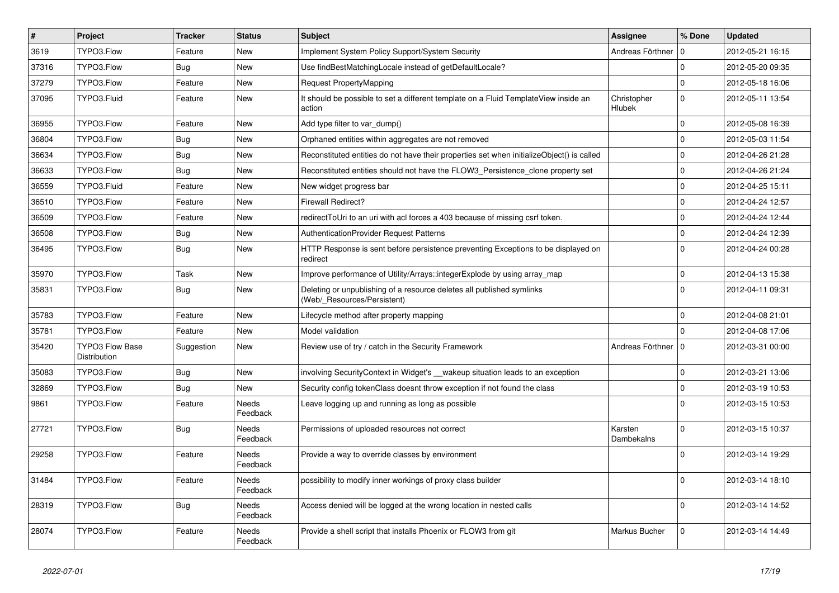| $\vert$ # | Project                                | <b>Tracker</b> | <b>Status</b>            | <b>Subject</b>                                                                                       | <b>Assignee</b>       | % Done      | <b>Updated</b>   |
|-----------|----------------------------------------|----------------|--------------------------|------------------------------------------------------------------------------------------------------|-----------------------|-------------|------------------|
| 3619      | TYPO3.Flow                             | Feature        | <b>New</b>               | Implement System Policy Support/System Security                                                      | Andreas Förthner      | 0           | 2012-05-21 16:15 |
| 37316     | TYPO3.Flow                             | <b>Bug</b>     | <b>New</b>               | Use findBestMatchingLocale instead of getDefaultLocale?                                              |                       | $\Omega$    | 2012-05-20 09:35 |
| 37279     | TYPO3.Flow                             | Feature        | <b>New</b>               | Request PropertyMapping                                                                              |                       | $\mathbf 0$ | 2012-05-18 16:06 |
| 37095     | TYPO3.Fluid                            | Feature        | New                      | It should be possible to set a different template on a Fluid TemplateView inside an<br>action        | Christopher<br>Hlubek | $\mathbf 0$ | 2012-05-11 13:54 |
| 36955     | TYPO3.Flow                             | Feature        | New                      | Add type filter to var_dump()                                                                        |                       | $\mathbf 0$ | 2012-05-08 16:39 |
| 36804     | TYPO3.Flow                             | <b>Bug</b>     | <b>New</b>               | Orphaned entities within aggregates are not removed                                                  |                       | $\Omega$    | 2012-05-03 11:54 |
| 36634     | TYPO3.Flow                             | <b>Bug</b>     | <b>New</b>               | Reconstituted entities do not have their properties set when initializeObject() is called            |                       | $\Omega$    | 2012-04-26 21:28 |
| 36633     | TYPO3.Flow                             | <b>Bug</b>     | <b>New</b>               | Reconstituted entities should not have the FLOW3_Persistence_clone property set                      |                       | $\Omega$    | 2012-04-26 21:24 |
| 36559     | TYPO3.Fluid                            | Feature        | <b>New</b>               | New widget progress bar                                                                              |                       | $\Omega$    | 2012-04-25 15:11 |
| 36510     | TYPO3.Flow                             | Feature        | <b>New</b>               | <b>Firewall Redirect?</b>                                                                            |                       | $\mathbf 0$ | 2012-04-24 12:57 |
| 36509     | TYPO3.Flow                             | Feature        | <b>New</b>               | redirectToUri to an uri with acl forces a 403 because of missing csrf token.                         |                       | $\Omega$    | 2012-04-24 12:44 |
| 36508     | TYPO3.Flow                             | Bug            | <b>New</b>               | <b>AuthenticationProvider Request Patterns</b>                                                       |                       | $\Omega$    | 2012-04-24 12:39 |
| 36495     | TYPO3.Flow                             | <b>Bug</b>     | <b>New</b>               | HTTP Response is sent before persistence preventing Exceptions to be displayed on<br>redirect        |                       | $\Omega$    | 2012-04-24 00:28 |
| 35970     | TYPO3.Flow                             | Task           | New                      | Improve performance of Utility/Arrays::integerExplode by using array_map                             |                       | $\mathbf 0$ | 2012-04-13 15:38 |
| 35831     | TYPO3.Flow                             | <b>Bug</b>     | New                      | Deleting or unpublishing of a resource deletes all published symlinks<br>(Web/_Resources/Persistent) |                       | $\Omega$    | 2012-04-11 09:31 |
| 35783     | TYPO3.Flow                             | Feature        | <b>New</b>               | Lifecycle method after property mapping                                                              |                       | $\Omega$    | 2012-04-08 21:01 |
| 35781     | TYPO3.Flow                             | Feature        | <b>New</b>               | Model validation                                                                                     |                       | $\Omega$    | 2012-04-08 17:06 |
| 35420     | <b>TYPO3 Flow Base</b><br>Distribution | Suggestion     | New                      | Review use of try / catch in the Security Framework                                                  | Andreas Förthner      | $\Omega$    | 2012-03-31 00:00 |
| 35083     | TYPO3.Flow                             | Bug            | <b>New</b>               | involving SecurityContext in Widget's vakeup situation leads to an exception                         |                       | $\mathbf 0$ | 2012-03-21 13:06 |
| 32869     | TYPO3.Flow                             | <b>Bug</b>     | <b>New</b>               | Security config tokenClass doesnt throw exception if not found the class                             |                       | $\mathbf 0$ | 2012-03-19 10:53 |
| 9861      | TYPO3.Flow                             | Feature        | Needs<br>Feedback        | Leave logging up and running as long as possible                                                     |                       | $\Omega$    | 2012-03-15 10:53 |
| 27721     | TYPO3.Flow                             | <b>Bug</b>     | <b>Needs</b><br>Feedback | Permissions of uploaded resources not correct                                                        | Karsten<br>Dambekalns | $\Omega$    | 2012-03-15 10:37 |
| 29258     | TYPO3.Flow                             | Feature        | Needs<br>Feedback        | Provide a way to override classes by environment                                                     |                       | $\Omega$    | 2012-03-14 19:29 |
| 31484     | TYPO3.Flow                             | Feature        | Needs<br>Feedback        | possibility to modify inner workings of proxy class builder                                          |                       | $\Omega$    | 2012-03-14 18:10 |
| 28319     | TYPO3.Flow                             | <b>Bug</b>     | <b>Needs</b><br>Feedback | Access denied will be logged at the wrong location in nested calls                                   |                       | $\Omega$    | 2012-03-14 14:52 |
| 28074     | TYPO3.Flow                             | Feature        | Needs<br>Feedback        | Provide a shell script that installs Phoenix or FLOW3 from git                                       | Markus Bucher         | $\mathbf 0$ | 2012-03-14 14:49 |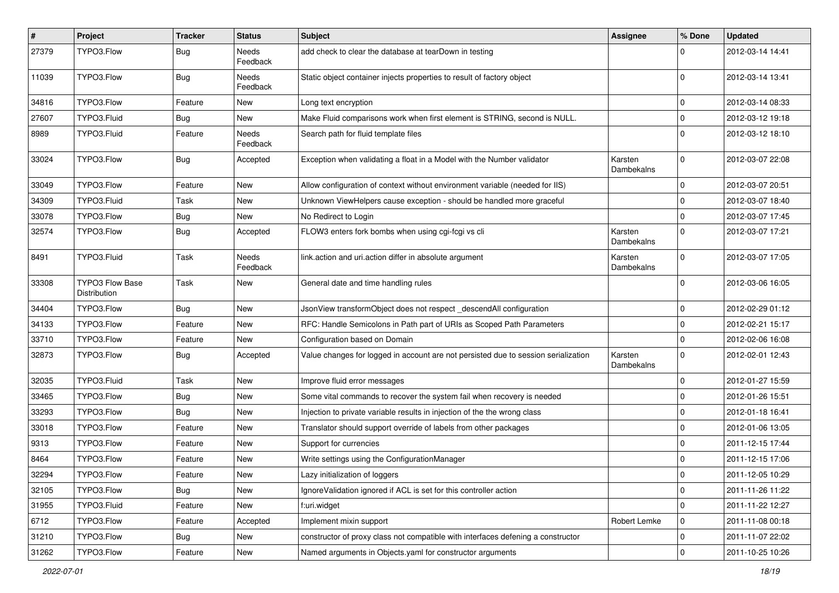| #     | Project                                | <b>Tracker</b> | <b>Status</b>            | <b>Subject</b>                                                                     | Assignee              | % Done      | <b>Updated</b>   |
|-------|----------------------------------------|----------------|--------------------------|------------------------------------------------------------------------------------|-----------------------|-------------|------------------|
| 27379 | TYPO3.Flow                             | <b>Bug</b>     | Needs<br>Feedback        | add check to clear the database at tearDown in testing                             |                       |             | 2012-03-14 14:41 |
| 11039 | TYPO3.Flow                             | <b>Bug</b>     | Needs<br>Feedback        | Static object container injects properties to result of factory object             |                       | $\Omega$    | 2012-03-14 13:41 |
| 34816 | TYPO3.Flow                             | Feature        | New                      | Long text encryption                                                               |                       | $\mathbf 0$ | 2012-03-14 08:33 |
| 27607 | TYPO3.Fluid                            | Bug            | New                      | Make Fluid comparisons work when first element is STRING, second is NULL.          |                       | $\mathbf 0$ | 2012-03-12 19:18 |
| 8989  | TYPO3.Fluid                            | Feature        | <b>Needs</b><br>Feedback | Search path for fluid template files                                               |                       | $\Omega$    | 2012-03-12 18:10 |
| 33024 | TYPO3.Flow                             | <b>Bug</b>     | Accepted                 | Exception when validating a float in a Model with the Number validator             | Karsten<br>Dambekalns | $\Omega$    | 2012-03-07 22:08 |
| 33049 | TYPO3.Flow                             | Feature        | New                      | Allow configuration of context without environment variable (needed for IIS)       |                       | $\mathbf 0$ | 2012-03-07 20:51 |
| 34309 | TYPO3.Fluid                            | Task           | New                      | Unknown ViewHelpers cause exception - should be handled more graceful              |                       | $\mathbf 0$ | 2012-03-07 18:40 |
| 33078 | TYPO3.Flow                             | <b>Bug</b>     | New                      | No Redirect to Login                                                               |                       | $\Omega$    | 2012-03-07 17:45 |
| 32574 | TYPO3.Flow                             | <b>Bug</b>     | Accepted                 | FLOW3 enters fork bombs when using cgi-fcgi vs cli                                 | Karsten<br>Dambekalns | $\Omega$    | 2012-03-07 17:21 |
| 8491  | TYPO3.Fluid                            | Task           | Needs<br>Feedback        | link.action and uri.action differ in absolute argument                             | Karsten<br>Dambekalns | $\Omega$    | 2012-03-07 17:05 |
| 33308 | <b>TYPO3 Flow Base</b><br>Distribution | Task           | New                      | General date and time handling rules                                               |                       | $\Omega$    | 2012-03-06 16:05 |
| 34404 | TYPO3.Flow                             | <b>Bug</b>     | New                      | JsonView transformObject does not respect _descendAll configuration                |                       | $\mathbf 0$ | 2012-02-29 01:12 |
| 34133 | TYPO3.Flow                             | Feature        | New                      | RFC: Handle Semicolons in Path part of URIs as Scoped Path Parameters              |                       | 0           | 2012-02-21 15:17 |
| 33710 | TYPO3.Flow                             | Feature        | New                      | Configuration based on Domain                                                      |                       | $\mathbf 0$ | 2012-02-06 16:08 |
| 32873 | TYPO3.Flow                             | Bug            | Accepted                 | Value changes for logged in account are not persisted due to session serialization | Karsten<br>Dambekalns | $\Omega$    | 2012-02-01 12:43 |
| 32035 | TYPO3.Fluid                            | Task           | New                      | Improve fluid error messages                                                       |                       | $\Omega$    | 2012-01-27 15:59 |
| 33465 | TYPO3.Flow                             | Bug            | New                      | Some vital commands to recover the system fail when recovery is needed             |                       | $\mathbf 0$ | 2012-01-26 15:51 |
| 33293 | TYPO3.Flow                             | <b>Bug</b>     | New                      | Injection to private variable results in injection of the the wrong class          |                       | $\mathbf 0$ | 2012-01-18 16:41 |
| 33018 | TYPO3.Flow                             | Feature        | New                      | Translator should support override of labels from other packages                   |                       | $\mathbf 0$ | 2012-01-06 13:05 |
| 9313  | TYPO3.Flow                             | Feature        | New                      | Support for currencies                                                             |                       | $\Omega$    | 2011-12-15 17:44 |
| 8464  | TYPO3.Flow                             | Feature        | New                      | Write settings using the ConfigurationManager                                      |                       | $\mathbf 0$ | 2011-12-15 17:06 |
| 32294 | TYPO3.Flow                             | Feature        | New                      | Lazy initialization of loggers                                                     |                       |             | 2011-12-05 10:29 |
| 32105 | TYPO3.Flow                             | <b>Bug</b>     | New                      | Ignore Validation ignored if ACL is set for this controller action                 |                       | $\mathbf 0$ | 2011-11-26 11:22 |
| 31955 | TYPO3.Fluid                            | Feature        | New                      | f:uri.widget                                                                       |                       | $\mathbf 0$ | 2011-11-22 12:27 |
| 6712  | TYPO3.Flow                             | Feature        | Accepted                 | Implement mixin support                                                            | Robert Lemke          | 0           | 2011-11-08 00:18 |
| 31210 | TYPO3.Flow                             | Bug            | New                      | constructor of proxy class not compatible with interfaces defening a constructor   |                       | 0           | 2011-11-07 22:02 |
| 31262 | TYPO3.Flow                             | Feature        | New                      | Named arguments in Objects.yaml for constructor arguments                          |                       | $\pmb{0}$   | 2011-10-25 10:26 |